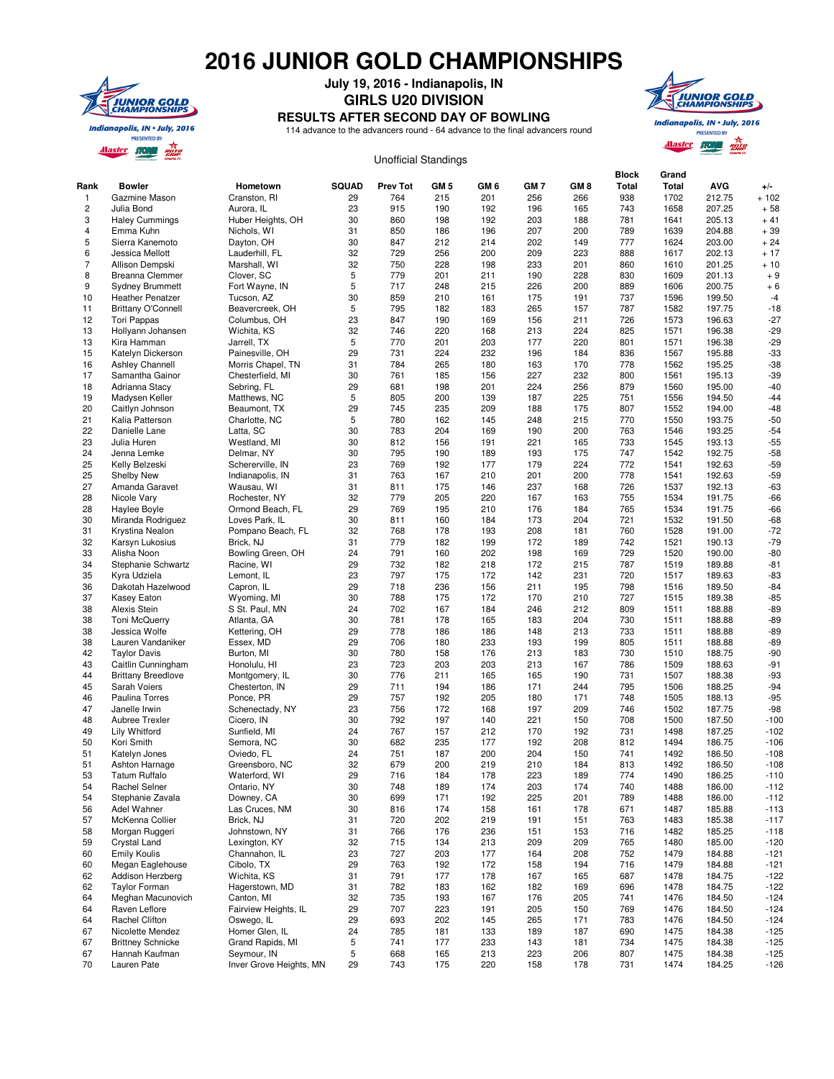## **2016 JUNIOR GOLD CHAMPIONSHIPS**



**July 19, 2016 - Indianapolis, IN**

## **GIRLS U20 DIVISION**

**RESULTS AFTER SECOND DAY OF BOWLING**

114 advance to the advancers round - 64 advance to the final advancers round



## **Rank Bowler Hometown SQUAD Prev Tot GM 5 GM 6 GM 7 GM 8 Block Total Grand Total AVG +/-** 1 Gazmine Mason Cranston, RI 29 764 215 201 256 266 938 1702 212.75 + 102 2 Julia Bond Aurora, IL 23 915 190 192 196 165 743 1658 207.25 + 58 3 Haley Cummings Huber Heights, OH 30 860 198 192 203 188 781 1641 205.13 + 41 4 Emma Kuhn Nichols, WI 31 850 186 196 207 200 789 1639 204.88 + 39 5 Sierra Kanemoto Dayton, OH 30 847 212 214 202 149 777 1624 203.00 + 24 6 Jessica Mellott Lauderhill, FL 32 729 256 200 209 223 888 1617 202.13 + 17 7 Allison Dempski Marshall, WI 32 750 228 198 233 201 860 1610 201.25 + 10 8 Breanna Clemmer Clover, SC 5 779 201 211 190 228 830 1609 201.13 + 9 9 Sydney Brummett Fort Wayne, IN 5 717 248 215 226 200 889 1606 200.75 + 6 10 Heather Penatzer Tucson, AZ 30 859 210 161 175 191 737 1596 199.50 -4 11 Brittany O'Connell Beavercreek, OH 5 795 182 183 265 157 787 1582 197.75 -18 12 Tori Pappas Columbus, OH 23 847 190 169 156 211 726 1573 196.63 -27 13 Hollyann Johansen Wichita, KS 32 746 220 168 213 224 825 1571 196.38 -29 13 Kira Hamman Jarrell, TX 5 770 201 203 177 220 801 1571 196.38 -29 15 Katelyn Dickerson Painesville, OH 29 731 224 232 196 184 836 1567 195.88 -33 16 Ashley Channell Morris Chapel, TN 31 784 265 180 163 170 778 1562 195.25 -38 17 Samantha Gainor Chesterfield, MI 30 761 185 156 227 232 800 1561 195.13 -39 18 Adrianna Stacy Sebring, FL 29 681 198 201 224 256 879 1560 195.00 -40 19 Madysen Keller Matthews, NC 5 805 200 139 187 225 751 1556 194.50 -44 20 Caitlyn Johnson Beaumont, TX 29 745 235 209 188 175 807 1552 194.00 -48 21 Kalia Patterson Charlotte, NC 5 780 162 145 248 215 770 1550 193.75 -50 22 Danielle Lane Latta, SC 30 783 204 169 190 200 763 1546 193.25 -54 23 Julia Huren Westland, MI 30 812 156 191 221 165 733 1545 193.13 -55 24 Jenna Lemke Delmar, NY 30 795 190 189 193 175 747 1542 192.75 -58 25 Kelly Belzeski Schererville, IN 23 769 192 177 179 224 772 1541 192.63 -59 25 Shelby New Indianapolis, IN 31 763 167 210 201 200 778 1541 192.63 -59 27 Amanda Garavet Wausau, WI 31 811 175 146 237 168 726 1537 192.13 -63 28 Nicole Vary Rochester, NY 32 779 205 220 167 163 755 1534 191.75 -66 28 Haylee Boyle Ormond Beach, FL 29 769 195 210 176 184 765 1534 191.75 -66 30 Miranda Rodriguez Loves Park, IL 30 811 160 184 173 204 721 1532 191.50 -68 31 Krystina Nealon Pompano Beach, FL 32 768 178 193 208 181 760 1528 191.00 -72 32 Karsyn Lukosius Brick, NJ 31 779 182 199 172 189 742 1521 190.13 -79 33 Alisha Noon Bowling Green, OH 24 791 160 202 198 169 729 1520 190.00 -80 34 Stephanie Schwartz Racine, WI 29 732 182 218 172 215 787 1519 189.88 -81 35 Kyra Udziela Lemont, IL 23 797 175 172 142 231 720 1517 189.63 -83 36 Dakotah Hazelwood Capron, IL 29 718 236 156 211 195 798 1516 189.50 -84 37 Kasey Eaton Wyoming, MI 30 788 175 172 170 210 727 1515 189.38 -85 38 Alexis Stein S St. Paul, MN 24 702 167 184 246 212 809 1511 188.88 -89 38 Toni McQuerry Atlanta, GA 30 781 178 165 183 204 730 1511 188.88 -89 38 Jessica Wolfe Kettering, OH 29 778 186 186 148 213 733 1511 188.88 -89 38 Lauren Vandaniker Essex, MD 29 706 180 233 193 199 805 1511 188.88 -89 42 Taylor Davis Burton, MI 30 780 158 176 213 183 730 1510 188.75 -90 43 Caitlin Cunningham Honolulu, HI 23 723 203 203 213 167 786 1509 188.63 -91 44 Brittany Breedlove Montgomery, IL 30 776 211 165 165 190 731 1507 188.38 -93 45 Sarah Voiers Chesterton, IN 29 711 194 186 171 244 795 1506 188.25 -94 46 Paulina Torres Ponce, PR 29 757 192 205 180 171 748 1505 188.13 -95 47 Janelle Irwin Schenectady, NY 23 756 172 168 197 209 746 1502 187.75 -98 48 Aubree Trexler Cicero, IN 30 792 197 140 221 150 708 1500 187.50 -100 49 Lily Whitford Sunfield, MI 24 767 157 212 170 192 731 1498 187.25 -102 50 Kori Smith Semora, NC 30 682 235 177 192 208 812 1494 186.75 -106 51 Katelyn Jones Oviedo, FL 24 751 187 200 204 150 741 1492 186.50 -108 51 Ashton Harnage Greensboro, NC 32 679 200 219 210 184 813 1492 186.50 -108 53 Tatum Ruffalo Waterford, WI 29 716 184 178 223 189 774 1490 186.25 -110 54 Rachel Selner Ontario, NY 30 748 189 174 203 174 740 1488 186.00 -112 54 Stephanie Zavala Downey, CA 30 699 171 192 225 201 789 1488 186.00 -112 56 Adel Wahner Las Cruces, NM 30 816 174 158 161 178 671 1487 185.88 -113 57 McKenna Collier Brick, NJ 31 720 202 219 191 151 763 1483 185.38 -117 58 Morgan Ruggeri Johnstown, NY 31 766 176 236 151 153 716 1482 185.25 -118 59 Crystal Land Lexington, KY 32 715 134 213 209 209 765 1480 185.00 -120 60 Emily Koulis Channahon, IL 23 727 203 177 164 208 752 1479 184.88 -121 60 Megan Eaglehouse Cibolo, TX 29 763 192 172 158 194 716 1479 184.88 -121 62 Addison Herzberg Wichita, KS 31 791 177 178 167 165 687 1478 184.75 -122 62 Taylor Forman Hagerstown, MD 31 782 183 162 182 169 696 1478 184.75 -122 64 Meghan Macunovich Canton, MI 32 735 193 167 176 205 741 1476 184.50 -124 64 Raven Leflore Fairview Heights, IL 29 707 223 191 205 150 769 1476 184.50 -124 64 Rachel Clifton Oswego, IL 29 693 202 145 265 171 783 1476 184.50 -124 67 Nicolette Mendez Homer Glen, IL 24 785 181 133 189 187 690 1475 184.38 -125 67 Brittney Schnicke Grand Rapids, MI 5 741 177 233 143 181 734 1475 184.38 -125 67 Hannah Kaufman Seymour, IN 5 668 165 213 223 206 807 1475 184.38 -125 70 Lauren Pate Inver Grove Heights, MN 29 743 175 220 158 178 731 1474 184.25 -126 Unofficial Standings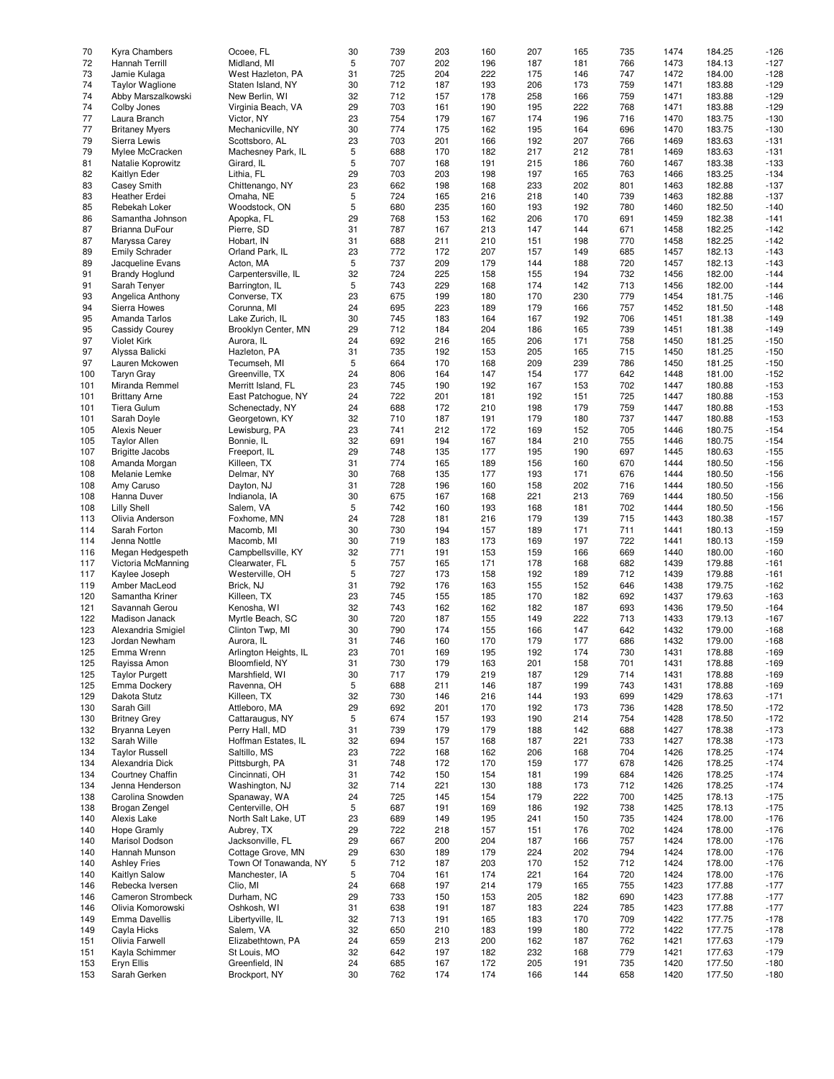| 70  | <b>Kyra Chambers</b>   | Ocoee, FL             | 30 | 739 | 203 | 160 | 207 | 165 | 735 | 1474 | 184.25 | $-126$ |
|-----|------------------------|-----------------------|----|-----|-----|-----|-----|-----|-----|------|--------|--------|
|     |                        |                       |    |     |     |     |     |     |     |      |        |        |
| 72  | Hannah Terrill         | Midland, MI           | 5  | 707 | 202 | 196 | 187 | 181 | 766 | 1473 | 184.13 | $-127$ |
| 73  | Jamie Kulaga           | West Hazleton, PA     | 31 | 725 | 204 | 222 | 175 | 146 | 747 | 1472 | 184.00 | $-128$ |
| 74  | <b>Taylor Waglione</b> | Staten Island, NY     | 30 | 712 | 187 | 193 | 206 | 173 | 759 | 1471 | 183.88 | $-129$ |
| 74  |                        |                       |    | 712 |     |     |     |     |     |      |        | $-129$ |
|     | Abby Marszalkowski     | New Berlin, WI        | 32 |     | 157 | 178 | 258 | 166 | 759 | 1471 | 183.88 |        |
| 74  | Colby Jones            | Virginia Beach, VA    | 29 | 703 | 161 | 190 | 195 | 222 | 768 | 1471 | 183.88 | $-129$ |
| 77  | Laura Branch           | Victor, NY            | 23 | 754 | 179 | 167 | 174 | 196 | 716 | 1470 | 183.75 | $-130$ |
| 77  | <b>Britaney Myers</b>  | Mechanicville, NY     | 30 | 774 | 175 | 162 | 195 | 164 | 696 | 1470 | 183.75 | $-130$ |
|     |                        |                       |    |     |     |     |     |     |     |      |        |        |
| 79  | Sierra Lewis           | Scottsboro, AL        | 23 | 703 | 201 | 166 | 192 | 207 | 766 | 1469 | 183.63 | $-131$ |
| 79  | Mylee McCracken        | Machesney Park, IL    | 5  | 688 | 170 | 182 | 217 | 212 | 781 | 1469 | 183.63 | $-131$ |
| 81  | Natalie Koprowitz      | Girard, IL            | 5  | 707 | 168 | 191 | 215 | 186 | 760 | 1467 | 183.38 | $-133$ |
| 82  |                        | Lithia, FL            | 29 | 703 | 203 | 198 | 197 |     | 763 |      | 183.25 | $-134$ |
|     | Kaitlyn Eder           |                       |    |     |     |     |     | 165 |     | 1466 |        |        |
| 83  | <b>Casey Smith</b>     | Chittenango, NY       | 23 | 662 | 198 | 168 | 233 | 202 | 801 | 1463 | 182.88 | $-137$ |
| 83  | Heather Erdei          | Omaha, NE             | 5  | 724 | 165 | 216 | 218 | 140 | 739 | 1463 | 182.88 | $-137$ |
| 85  | Rebekah Loker          | Woodstock, ON         | 5  | 680 | 235 | 160 | 193 | 192 | 780 | 1460 | 182.50 | $-140$ |
|     |                        |                       |    |     |     |     |     |     |     |      |        |        |
| 86  | Samantha Johnson       | Apopka, FL            | 29 | 768 | 153 | 162 | 206 | 170 | 691 | 1459 | 182.38 | $-141$ |
| 87  | Brianna DuFour         | Pierre, SD            | 31 | 787 | 167 | 213 | 147 | 144 | 671 | 1458 | 182.25 | $-142$ |
| 87  | Maryssa Carey          | Hobart, IN            | 31 | 688 | 211 | 210 | 151 | 198 | 770 | 1458 | 182.25 | $-142$ |
|     |                        |                       | 23 | 772 | 172 | 207 |     |     |     | 1457 |        | $-143$ |
| 89  | <b>Emily Schrader</b>  | Orland Park, IL       |    |     |     |     | 157 | 149 | 685 |      | 182.13 |        |
| 89  | Jacqueline Evans       | Acton, MA             | 5  | 737 | 209 | 179 | 144 | 188 | 720 | 1457 | 182.13 | $-143$ |
| 91  | <b>Brandy Hoglund</b>  | Carpentersville, IL   | 32 | 724 | 225 | 158 | 155 | 194 | 732 | 1456 | 182.00 | $-144$ |
| 91  | Sarah Tenyer           | Barrington, IL        | 5  | 743 | 229 | 168 | 174 | 142 | 713 | 1456 | 182.00 | $-144$ |
|     |                        |                       |    |     |     |     |     |     |     |      |        |        |
| 93  | Angelica Anthony       | Converse, TX          | 23 | 675 | 199 | 180 | 170 | 230 | 779 | 1454 | 181.75 | $-146$ |
| 94  | Sierra Howes           | Corunna, MI           | 24 | 695 | 223 | 189 | 179 | 166 | 757 | 1452 | 181.50 | $-148$ |
| 95  | Amanda Tarlos          | Lake Zurich, IL       | 30 | 745 | 183 | 164 | 167 | 192 | 706 | 1451 | 181.38 | $-149$ |
| 95  | Cassidy Courey         | Brooklyn Center, MN   | 29 | 712 | 184 | 204 | 186 | 165 | 739 | 1451 | 181.38 | $-149$ |
|     |                        |                       |    |     |     |     |     |     |     |      |        |        |
| 97  | <b>Violet Kirk</b>     | Aurora, IL            | 24 | 692 | 216 | 165 | 206 | 171 | 758 | 1450 | 181.25 | $-150$ |
| 97  | Alyssa Balicki         | Hazleton, PA          | 31 | 735 | 192 | 153 | 205 | 165 | 715 | 1450 | 181.25 | $-150$ |
| 97  | Lauren Mckowen         | Tecumseh, MI          | 5  | 664 | 170 | 168 | 209 | 239 | 786 | 1450 | 181.25 | $-150$ |
|     |                        |                       |    |     |     |     |     |     |     |      |        |        |
| 100 | <b>Taryn Gray</b>      | Greenville, TX        | 24 | 806 | 164 | 147 | 154 | 177 | 642 | 1448 | 181.00 | $-152$ |
| 101 | Miranda Remmel         | Merritt Island, FL    | 23 | 745 | 190 | 192 | 167 | 153 | 702 | 1447 | 180.88 | $-153$ |
| 101 | <b>Brittany Arne</b>   | East Patchogue, NY    | 24 | 722 | 201 | 181 | 192 | 151 | 725 | 1447 | 180.88 | $-153$ |
|     |                        |                       |    |     |     |     |     |     |     |      |        |        |
| 101 | Tiera Gulum            | Schenectady, NY       | 24 | 688 | 172 | 210 | 198 | 179 | 759 | 1447 | 180.88 | $-153$ |
| 101 | Sarah Doyle            | Georgetown, KY        | 32 | 710 | 187 | 191 | 179 | 180 | 737 | 1447 | 180.88 | $-153$ |
| 105 | <b>Alexis Neuer</b>    | Lewisburg, PA         | 23 | 741 | 212 | 172 | 169 | 152 | 705 | 1446 | 180.75 | $-154$ |
| 105 | <b>Taylor Allen</b>    | Bonnie, IL            | 32 | 691 | 194 | 167 | 184 | 210 | 755 | 1446 | 180.75 | $-154$ |
|     |                        |                       |    |     |     |     |     |     |     |      |        |        |
| 107 | <b>Brigitte Jacobs</b> | Freeport, IL          | 29 | 748 | 135 | 177 | 195 | 190 | 697 | 1445 | 180.63 | $-155$ |
| 108 | Amanda Morgan          | Killeen, TX           | 31 | 774 | 165 | 189 | 156 | 160 | 670 | 1444 | 180.50 | $-156$ |
| 108 | Melanie Lemke          | Delmar, NY            | 30 | 768 | 135 | 177 | 193 | 171 | 676 | 1444 | 180.50 | $-156$ |
| 108 | Amy Caruso             | Dayton, NJ            | 31 | 728 | 196 | 160 | 158 | 202 | 716 | 1444 | 180.50 | $-156$ |
|     |                        |                       |    |     |     |     |     |     |     |      |        |        |
| 108 | Hanna Duver            | Indianola, IA         | 30 | 675 | 167 | 168 | 221 | 213 | 769 | 1444 | 180.50 | $-156$ |
| 108 | <b>Lilly Shell</b>     | Salem, VA             | 5  | 742 | 160 | 193 | 168 | 181 | 702 | 1444 | 180.50 | $-156$ |
| 113 | Olivia Anderson        | Foxhome, MN           | 24 | 728 | 181 | 216 | 179 | 139 | 715 | 1443 | 180.38 | $-157$ |
|     |                        |                       |    |     |     |     |     |     |     |      |        |        |
| 114 | Sarah Forton           | Macomb, MI            | 30 | 730 | 194 | 157 | 189 | 171 | 711 | 1441 | 180.13 | $-159$ |
| 114 | Jenna Nottle           | Macomb, MI            | 30 | 719 | 183 | 173 | 169 | 197 | 722 | 1441 | 180.13 | $-159$ |
| 116 | Megan Hedgespeth       | Campbellsville, KY    | 32 | 771 | 191 | 153 | 159 | 166 | 669 | 1440 | 180.00 | $-160$ |
| 117 | Victoria McManning     | Clearwater, FL        | 5  | 757 | 165 | 171 | 178 | 168 | 682 | 1439 | 179.88 | $-161$ |
|     |                        |                       |    |     |     |     |     |     |     |      |        |        |
| 117 | Kaylee Joseph          | Westerville, OH       | 5  | 727 | 173 | 158 | 192 | 189 | 712 | 1439 | 179.88 | $-161$ |
| 119 | Amber MacLeod          | Brick, NJ             | 31 | 792 | 176 | 163 | 155 | 152 | 646 | 1438 | 179.75 | $-162$ |
| 120 | Samantha Kriner        | Killeen, TX           | 23 | 745 | 155 | 185 | 170 | 182 | 692 | 1437 | 179.63 | $-163$ |
|     |                        |                       |    |     |     |     |     |     |     |      |        |        |
| 121 | Savannah Gerou         | Kenosha, WI           | 32 | 743 | 162 | 162 | 182 | 187 | 693 | 1436 | 179.50 | $-164$ |
| 122 | Madison Janack         | Myrtle Beach, SC      | 30 | 720 | 187 | 155 | 149 | 222 | 713 | 1433 | 179.13 | $-167$ |
| 123 | Alexandria Smigiel     | Clinton Twp, MI       | 30 | 790 | 174 | 155 | 166 | 147 | 642 | 1432 | 179.00 | $-168$ |
| 123 | Jordan Newham          | Aurora, IL            | 31 | 746 | 160 | 170 | 179 | 177 | 686 | 1432 | 179.00 | $-168$ |
|     |                        |                       |    |     |     |     |     |     |     |      |        |        |
| 125 | Emma Wrenn             | Arlington Heights, IL | 23 | 701 | 169 | 195 | 192 | 174 | 730 | 1431 | 178.88 | $-169$ |
| 125 | Rayissa Amon           | Bloomfield, NY        | 31 | 730 | 179 | 163 | 201 | 158 | 701 | 1431 | 178.88 | $-169$ |
| 125 | <b>Taylor Purgett</b>  | Marshfield, WI        | 30 | 717 | 179 | 219 | 187 | 129 | 714 | 1431 | 178.88 | $-169$ |
| 125 | Emma Dockery           | Ravenna, OH           | 5  | 688 | 211 | 146 | 187 | 199 | 743 | 1431 | 178.88 | $-169$ |
|     |                        |                       |    |     |     |     |     |     |     |      |        |        |
| 129 | Dakota Stutz           | Killeen, TX           | 32 | 730 | 146 | 216 | 144 | 193 | 699 | 1429 | 178.63 | $-171$ |
| 130 | Sarah Gill             | Attleboro, MA         | 29 | 692 | 201 | 170 | 192 | 173 | 736 | 1428 | 178.50 | $-172$ |
| 130 | <b>Britney Grey</b>    | Cattaraugus, NY       | 5  | 674 | 157 | 193 | 190 | 214 | 754 | 1428 | 178.50 | $-172$ |
| 132 | Bryanna Leyen          | Perry Hall, MD        | 31 | 739 | 179 | 179 | 188 | 142 | 688 | 1427 | 178.38 | $-173$ |
|     |                        |                       |    |     |     |     |     |     |     |      |        |        |
| 132 | Sarah Wille            | Hoffman Estates, IL   | 32 | 694 | 157 | 168 | 187 | 221 | 733 | 1427 | 178.38 | $-173$ |
| 134 | <b>Taylor Russell</b>  | Saltillo, MS          | 23 | 722 | 168 | 162 | 206 | 168 | 704 | 1426 | 178.25 | $-174$ |
| 134 | Alexandria Dick        | Pittsburgh, PA        | 31 | 748 | 172 | 170 | 159 | 177 | 678 | 1426 | 178.25 | $-174$ |
|     | Courtney Chaffin       | Cincinnati, OH        | 31 |     |     |     |     |     |     |      | 178.25 | $-174$ |
| 134 |                        |                       |    | 742 | 150 | 154 | 181 | 199 | 684 | 1426 |        |        |
| 134 | Jenna Henderson        | Washington, NJ        | 32 | 714 | 221 | 130 | 188 | 173 | 712 | 1426 | 178.25 | $-174$ |
| 138 | Carolina Snowden       | Spanaway, WA          | 24 | 725 | 145 | 154 | 179 | 222 | 700 | 1425 | 178.13 | $-175$ |
| 138 | Brogan Zengel          | Centerville, OH       | 5  | 687 | 191 | 169 | 186 | 192 | 738 | 1425 | 178.13 | $-175$ |
|     |                        |                       |    |     |     |     |     |     |     |      |        |        |
| 140 | Alexis Lake            | North Salt Lake, UT   | 23 | 689 | 149 | 195 | 241 | 150 | 735 | 1424 | 178.00 | $-176$ |
| 140 | <b>Hope Gramly</b>     | Aubrey, TX            | 29 | 722 | 218 | 157 | 151 | 176 | 702 | 1424 | 178.00 | $-176$ |
| 140 | Marisol Dodson         | Jacksonville, FL      | 29 | 667 | 200 | 204 | 187 | 166 | 757 | 1424 | 178.00 | $-176$ |
|     | Hannah Munson          | Cottage Grove, MN     | 29 |     |     |     |     |     | 794 |      |        | $-176$ |
| 140 |                        |                       |    | 630 | 189 | 179 | 224 | 202 |     | 1424 | 178.00 |        |
| 140 | <b>Ashley Fries</b>    | Town Of Tonawanda, NY | 5  | 712 | 187 | 203 | 170 | 152 | 712 | 1424 | 178.00 | $-176$ |
| 140 | Kaitlyn Salow          | Manchester, IA        | 5  | 704 | 161 | 174 | 221 | 164 | 720 | 1424 | 178.00 | $-176$ |
| 146 | Rebecka Iversen        | Clio, MI              | 24 | 668 | 197 | 214 | 179 | 165 | 755 | 1423 | 177.88 | $-177$ |
|     |                        |                       |    |     |     |     |     |     |     |      |        |        |
| 146 | Cameron Strombeck      | Durham, NC            | 29 | 733 | 150 | 153 | 205 | 182 | 690 | 1423 | 177.88 | $-177$ |
| 146 | Olivia Komorowski      | Oshkosh, WI           | 31 | 638 | 191 | 187 | 183 | 224 | 785 | 1423 | 177.88 | $-177$ |
| 149 | Emma Davellis          | Libertyville, IL      | 32 | 713 | 191 | 165 | 183 | 170 | 709 | 1422 | 177.75 | $-178$ |
| 149 | Cayla Hicks            | Salem, VA             | 32 | 650 | 210 | 183 | 199 | 180 | 772 | 1422 | 177.75 | $-178$ |
|     |                        |                       |    |     |     |     |     |     |     |      |        |        |
| 151 | Olivia Farwell         | Elizabethtown, PA     | 24 | 659 | 213 | 200 | 162 | 187 | 762 | 1421 | 177.63 | $-179$ |
| 151 | Kayla Schimmer         | St Louis, MO          | 32 | 642 | 197 | 182 | 232 | 168 | 779 | 1421 | 177.63 | $-179$ |
| 153 | Eryn Ellis             | Greenfield, IN        | 24 | 685 | 167 | 172 | 205 | 191 | 735 | 1420 | 177.50 | $-180$ |
|     |                        |                       |    |     |     |     |     |     |     |      |        |        |
| 153 | Sarah Gerken           | Brockport, NY         | 30 | 762 | 174 | 174 | 166 | 144 | 658 | 1420 | 177.50 | $-180$ |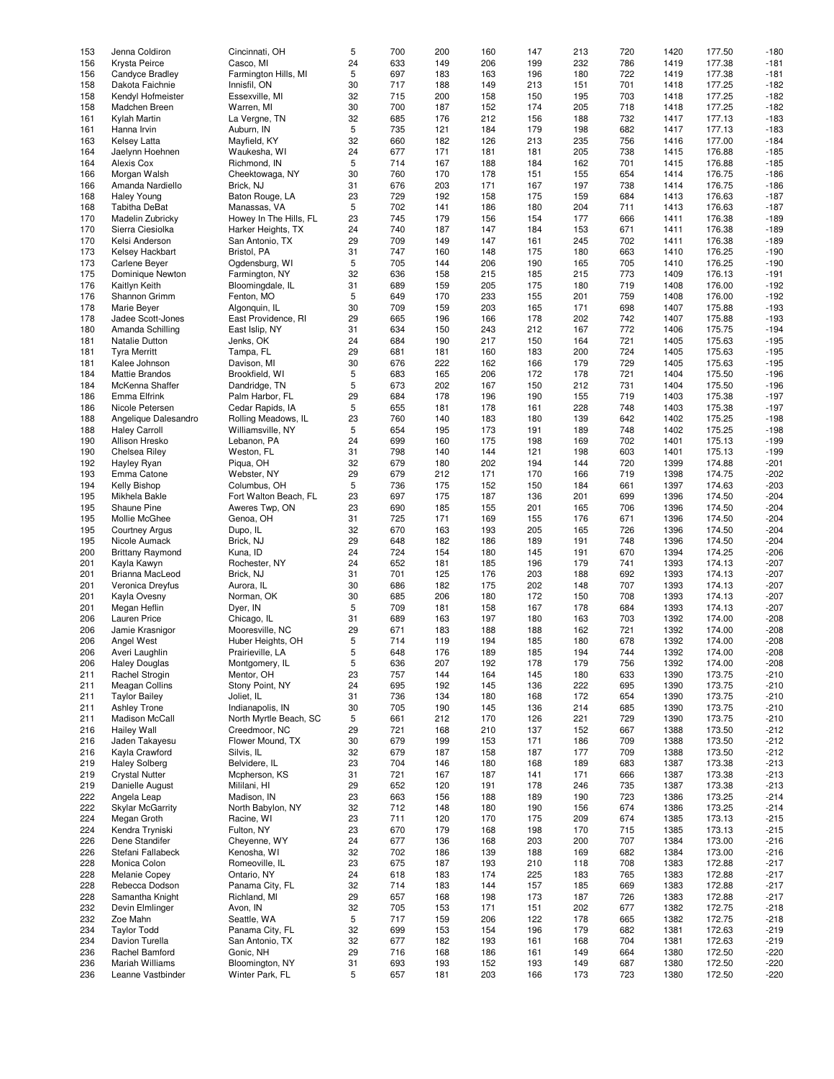| 153 | Jenna Coldiron          | Cincinnati, OH         | 5  | 700 | 200 | 160 | 147 | 213 | 720 | 1420 | 177.50 | $-180$ |
|-----|-------------------------|------------------------|----|-----|-----|-----|-----|-----|-----|------|--------|--------|
| 156 | Krysta Peirce           | Casco. MI              | 24 | 633 | 149 | 206 | 199 | 232 | 786 | 1419 | 177.38 | $-181$ |
| 156 | Candyce Bradley         | Farmington Hills, MI   | 5  | 697 | 183 | 163 | 196 | 180 | 722 | 1419 | 177.38 | $-181$ |
|     |                         |                        |    |     |     |     |     |     |     |      |        |        |
| 158 | Dakota Faichnie         | Innisfil, ON           | 30 | 717 | 188 | 149 | 213 | 151 | 701 | 1418 | 177.25 | $-182$ |
| 158 | Kendyl Hofmeister       | Essexville, MI         | 32 | 715 | 200 | 158 | 150 | 195 | 703 | 1418 | 177.25 | $-182$ |
| 158 | Madchen Breen           | Warren, MI             | 30 | 700 | 187 | 152 | 174 | 205 | 718 | 1418 | 177.25 | $-182$ |
| 161 | Kylah Martin            | La Vergne, TN          | 32 | 685 | 176 | 212 | 156 | 188 | 732 | 1417 | 177.13 | $-183$ |
| 161 | Hanna Irvin             | Auburn, IN             | 5  | 735 | 121 | 184 | 179 | 198 | 682 | 1417 | 177.13 | $-183$ |
|     |                         |                        |    |     |     |     |     |     |     |      |        |        |
| 163 | <b>Kelsey Latta</b>     | Mayfield, KY           | 32 | 660 | 182 | 126 | 213 | 235 | 756 | 1416 | 177.00 | $-184$ |
| 164 | Jaelynn Hoehnen         | Waukesha, WI           | 24 | 677 | 171 | 181 | 181 | 205 | 738 | 1415 | 176.88 | $-185$ |
| 164 | Alexis Cox              | Richmond, IN           | 5  | 714 | 167 | 188 | 184 | 162 | 701 | 1415 | 176.88 | $-185$ |
| 166 | Morgan Walsh            | Cheektowaga, NY        | 30 | 760 | 170 | 178 | 151 | 155 | 654 | 1414 | 176.75 | $-186$ |
| 166 | Amanda Nardiello        | Brick, NJ              | 31 | 676 | 203 | 171 | 167 | 197 | 738 | 1414 | 176.75 | $-186$ |
|     |                         |                        |    |     |     |     |     |     |     |      |        |        |
| 168 | <b>Haley Young</b>      | Baton Rouge, LA        | 23 | 729 | 192 | 158 | 175 | 159 | 684 | 1413 | 176.63 | $-187$ |
| 168 | Tabitha DeBat           | Manassas, VA           | 5  | 702 | 141 | 186 | 180 | 204 | 711 | 1413 | 176.63 | $-187$ |
| 170 | Madelin Zubricky        | Howey In The Hills, FL | 23 | 745 | 179 | 156 | 154 | 177 | 666 | 1411 | 176.38 | $-189$ |
| 170 | Sierra Ciesiolka        | Harker Heights, TX     | 24 | 740 | 187 | 147 | 184 | 153 | 671 | 1411 | 176.38 | $-189$ |
| 170 | Kelsi Anderson          | San Antonio, TX        | 29 | 709 | 149 | 147 | 161 | 245 | 702 | 1411 | 176.38 | $-189$ |
|     |                         |                        |    |     |     |     |     |     |     |      |        |        |
| 173 | Kelsey Hackbart         | Bristol, PA            | 31 | 747 | 160 | 148 | 175 | 180 | 663 | 1410 | 176.25 | $-190$ |
| 173 | Carlene Beyer           | Ogdensburg, WI         | 5  | 705 | 144 | 206 | 190 | 165 | 705 | 1410 | 176.25 | $-190$ |
| 175 | Dominique Newton        | Farmington, NY         | 32 | 636 | 158 | 215 | 185 | 215 | 773 | 1409 | 176.13 | $-191$ |
| 176 | Kaitlyn Keith           | Bloomingdale, IL       | 31 | 689 | 159 | 205 | 175 | 180 | 719 | 1408 | 176.00 | $-192$ |
| 176 | Shannon Grimm           | Fenton, MO             | 5  | 649 | 170 | 233 | 155 | 201 | 759 | 1408 | 176.00 | $-192$ |
|     |                         |                        |    |     |     |     |     |     |     |      |        |        |
| 178 | Marie Beyer             | Algonquin, IL          | 30 | 709 | 159 | 203 | 165 | 171 | 698 | 1407 | 175.88 | $-193$ |
| 178 | Jadee Scott-Jones       | East Providence, RI    | 29 | 665 | 196 | 166 | 178 | 202 | 742 | 1407 | 175.88 | $-193$ |
| 180 | Amanda Schilling        | East Islip, NY         | 31 | 634 | 150 | 243 | 212 | 167 | 772 | 1406 | 175.75 | $-194$ |
| 181 | Natalie Dutton          | Jenks, OK              | 24 | 684 | 190 | 217 | 150 | 164 | 721 | 1405 | 175.63 | $-195$ |
| 181 | <b>Tyra Merritt</b>     | Tampa, FL              | 29 | 681 | 181 | 160 | 183 | 200 | 724 | 1405 | 175.63 | $-195$ |
|     | Kalee Johnson           |                        |    | 676 | 222 | 162 |     | 179 | 729 |      |        | $-195$ |
| 181 |                         | Davison, MI            | 30 |     |     |     | 166 |     |     | 1405 | 175.63 |        |
| 184 | <b>Mattie Brandos</b>   | Brookfield, WI         | 5  | 683 | 165 | 206 | 172 | 178 | 721 | 1404 | 175.50 | $-196$ |
| 184 | McKenna Shaffer         | Dandridge, TN          | 5  | 673 | 202 | 167 | 150 | 212 | 731 | 1404 | 175.50 | $-196$ |
| 186 | Emma Elfrink            | Palm Harbor, FL        | 29 | 684 | 178 | 196 | 190 | 155 | 719 | 1403 | 175.38 | $-197$ |
| 186 | Nicole Petersen         | Cedar Rapids, IA       | 5  | 655 | 181 | 178 | 161 | 228 | 748 | 1403 | 175.38 | $-197$ |
|     |                         |                        |    |     |     |     |     |     |     |      |        |        |
| 188 | Angelique Dalesandro    | Rolling Meadows, IL    | 23 | 760 | 140 | 183 | 180 | 139 | 642 | 1402 | 175.25 | $-198$ |
| 188 | <b>Haley Carroll</b>    | Williamsville, NY      | 5  | 654 | 195 | 173 | 191 | 189 | 748 | 1402 | 175.25 | $-198$ |
| 190 | Allison Hresko          | Lebanon, PA            | 24 | 699 | 160 | 175 | 198 | 169 | 702 | 1401 | 175.13 | $-199$ |
| 190 | Chelsea Riley           | Weston, FL             | 31 | 798 | 140 | 144 | 121 | 198 | 603 | 1401 | 175.13 | $-199$ |
| 192 | Hayley Ryan             | Piqua, OH              | 32 | 679 | 180 | 202 | 194 | 144 | 720 | 1399 | 174.88 | $-201$ |
|     |                         |                        |    |     |     |     |     |     |     |      |        |        |
| 193 | Emma Catone             | Webster, NY            | 29 | 679 | 212 | 171 | 170 | 166 | 719 | 1398 | 174.75 | $-202$ |
| 194 | <b>Kelly Bishop</b>     | Columbus, OH           | 5  | 736 | 175 | 152 | 150 | 184 | 661 | 1397 | 174.63 | $-203$ |
| 195 | Mikhela Bakle           | Fort Walton Beach, FL  | 23 | 697 | 175 | 187 | 136 | 201 | 699 | 1396 | 174.50 | $-204$ |
| 195 | Shaune Pine             | Aweres Twp, ON         | 23 | 690 | 185 | 155 | 201 | 165 | 706 | 1396 | 174.50 | $-204$ |
| 195 | Mollie McGhee           | Genoa, OH              | 31 | 725 | 171 | 169 | 155 | 176 | 671 | 1396 | 174.50 | $-204$ |
|     |                         |                        |    |     |     |     |     |     |     |      |        |        |
| 195 | <b>Courtney Argus</b>   | Dupo, IL               | 32 | 670 | 163 | 193 | 205 | 165 | 726 | 1396 | 174.50 | $-204$ |
| 195 | Nicole Aumack           | Brick, NJ              | 29 | 648 | 182 | 186 | 189 | 191 | 748 | 1396 | 174.50 | $-204$ |
| 200 | <b>Brittany Raymond</b> | Kuna, ID               | 24 | 724 | 154 | 180 | 145 | 191 | 670 | 1394 | 174.25 | $-206$ |
| 201 | Kayla Kawyn             | Rochester, NY          | 24 | 652 | 181 | 185 | 196 | 179 | 741 | 1393 | 174.13 | $-207$ |
| 201 | Brianna MacLeod         | Brick, NJ              | 31 | 701 | 125 | 176 | 203 | 188 | 692 | 1393 | 174.13 | $-207$ |
|     |                         |                        |    |     |     |     |     |     |     |      |        |        |
| 201 | Veronica Dreyfus        | Aurora, IL             | 30 | 686 | 182 | 175 | 202 | 148 | 707 | 1393 | 174.13 | $-207$ |
| 201 | Kayla Ovesny            | Norman, OK             | 30 | 685 | 206 | 180 | 172 | 150 | 708 | 1393 | 174.13 | $-207$ |
| 201 | Megan Heflin            | Dyer, IN               | 5  | 709 | 181 | 158 | 167 | 178 | 684 | 1393 | 174.13 | $-207$ |
| 206 | <b>Lauren Price</b>     | Chicago, IL            | 31 | 689 | 163 | 197 | 180 | 163 | 703 | 1392 | 174.00 | $-208$ |
|     |                         |                        |    |     |     | 188 |     |     |     |      |        |        |
| 206 | Jamie Krasnigor         | Mooresville, NC        | 29 | 671 | 183 |     | 188 | 162 | 721 | 1392 | 174.00 | $-208$ |
| 206 | Angel West              | Huber Heights, OH      | 5  | 714 | 119 | 194 | 185 | 180 | 678 | 1392 | 174.00 | $-208$ |
| 206 | Averi Laughlin          | Prairieville, LA       | 5  | 648 | 176 | 189 | 185 | 194 | 744 | 1392 | 174.00 | $-208$ |
| 206 | <b>Haley Douglas</b>    | Montgomery, IL         | 5  | 636 | 207 | 192 | 178 | 179 | 756 | 1392 | 174.00 | $-208$ |
| 211 | Rachel Strogin          | Mentor, OH             | 23 | 757 | 144 | 164 | 145 | 180 | 633 | 1390 | 173.75 | $-210$ |
| 211 | <b>Meagan Collins</b>   | Stony Point, NY        | 24 | 695 |     | 145 |     | 222 | 695 | 1390 | 173.75 | $-210$ |
|     |                         |                        |    |     | 192 |     | 136 |     |     |      |        |        |
| 211 | <b>Taylor Bailey</b>    | Joliet, IL             | 31 | 736 | 134 | 180 | 168 | 172 | 654 | 1390 | 173.75 | $-210$ |
| 211 | <b>Ashley Trone</b>     | Indianapolis, IN       | 30 | 705 | 190 | 145 | 136 | 214 | 685 | 1390 | 173.75 | $-210$ |
| 211 | Madison McCall          | North Myrtle Beach, SC | 5  | 661 | 212 | 170 | 126 | 221 | 729 | 1390 | 173.75 | $-210$ |
| 216 | <b>Hailey Wall</b>      | Creedmoor, NC          | 29 | 721 | 168 | 210 | 137 | 152 | 667 | 1388 | 173.50 | $-212$ |
| 216 | Jaden Takayesu          | Flower Mound, TX       | 30 |     |     |     |     |     |     |      | 173.50 | $-212$ |
|     |                         |                        |    | 679 | 199 | 153 | 171 | 186 | 709 | 1388 |        |        |
| 216 | Kayla Crawford          | Silvis. IL             | 32 | 679 | 187 | 158 | 187 | 177 | 709 | 1388 | 173.50 | $-212$ |
| 219 | <b>Haley Solberg</b>    | Belvidere, IL          | 23 | 704 | 146 | 180 | 168 | 189 | 683 | 1387 | 173.38 | $-213$ |
| 219 | <b>Crystal Nutter</b>   | Mcpherson, KS          | 31 | 721 | 167 | 187 | 141 | 171 | 666 | 1387 | 173.38 | $-213$ |
| 219 | Danielle August         | Mililani, HI           | 29 | 652 | 120 | 191 | 178 | 246 | 735 | 1387 | 173.38 | $-213$ |
|     |                         | Madison, IN            |    |     |     |     | 189 |     |     |      |        |        |
| 222 | Angela Leap             |                        | 23 | 663 | 156 | 188 |     | 190 | 723 | 1386 | 173.25 | $-214$ |
| 222 | <b>Skylar McGarrity</b> | North Babylon, NY      | 32 | 712 | 148 | 180 | 190 | 156 | 674 | 1386 | 173.25 | $-214$ |
| 224 | Megan Groth             | Racine, WI             | 23 | 711 | 120 | 170 | 175 | 209 | 674 | 1385 | 173.13 | $-215$ |
| 224 | Kendra Tryniski         | Fulton, NY             | 23 | 670 | 179 | 168 | 198 | 170 | 715 | 1385 | 173.13 | $-215$ |
| 226 | Dene Standifer          | Cheyenne, WY           | 24 | 677 | 136 | 168 | 203 | 200 | 707 | 1384 | 173.00 | $-216$ |
|     |                         |                        |    |     |     |     |     |     |     |      |        |        |
| 226 | Stefani Fallabeck       | Kenosha, WI            | 32 | 702 | 186 | 139 | 188 | 169 | 682 | 1384 | 173.00 | $-216$ |
| 228 | Monica Colon            | Romeoville, IL         | 23 | 675 | 187 | 193 | 210 | 118 | 708 | 1383 | 172.88 | $-217$ |
| 228 | Melanie Copey           | Ontario, NY            | 24 | 618 | 183 | 174 | 225 | 183 | 765 | 1383 | 172.88 | $-217$ |
| 228 | Rebecca Dodson          | Panama City, FL        | 32 | 714 | 183 | 144 | 157 | 185 | 669 | 1383 | 172.88 | $-217$ |
| 228 | Samantha Knight         | Richland, MI           | 29 | 657 | 168 | 198 | 173 | 187 | 726 | 1383 | 172.88 | $-217$ |
|     |                         |                        |    |     |     |     |     |     |     |      |        |        |
| 232 | Devin Elmlinger         | Avon, IN               | 32 | 705 | 153 | 171 | 151 | 202 | 677 | 1382 | 172.75 | $-218$ |
| 232 | Zoe Mahn                | Seattle, WA            | 5  | 717 | 159 | 206 | 122 | 178 | 665 | 1382 | 172.75 | $-218$ |
| 234 | <b>Taylor Todd</b>      | Panama City, FL        | 32 | 699 | 153 | 154 | 196 | 179 | 682 | 1381 | 172.63 | $-219$ |
| 234 | Davion Turella          | San Antonio, TX        | 32 | 677 | 182 | 193 | 161 | 168 | 704 | 1381 | 172.63 | $-219$ |
| 236 | Rachel Bamford          | Gonic, NH              | 29 | 716 | 168 | 186 | 161 | 149 | 664 | 1380 | 172.50 | $-220$ |
|     |                         |                        |    |     |     |     |     |     |     |      |        |        |
| 236 | Mariah Williams         | Bloomington, NY        | 31 | 693 | 193 | 152 | 193 | 149 | 687 | 1380 | 172.50 | $-220$ |
| 236 | Leanne Vastbinder       | Winter Park, FL        | 5  | 657 | 181 | 203 | 166 | 173 | 723 | 1380 | 172.50 | $-220$ |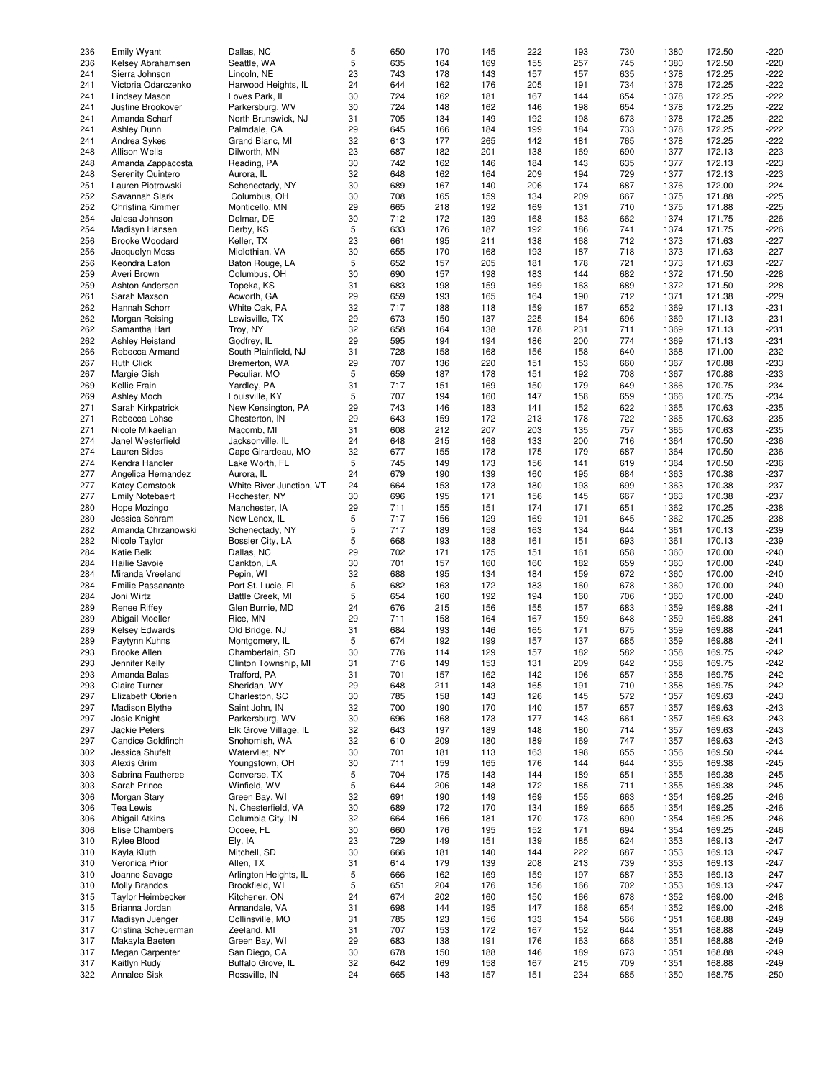| 236 | <b>Emily Wyant</b>       | Dallas, NC               | 5  | 650 | 170 | 145 | 222 | 193 | 730 | 1380 | 172.50 | $-220$ |
|-----|--------------------------|--------------------------|----|-----|-----|-----|-----|-----|-----|------|--------|--------|
|     |                          |                          |    |     |     |     |     |     |     |      |        |        |
| 236 | Kelsey Abrahamsen        | Seattle, WA              | 5  | 635 | 164 | 169 | 155 | 257 | 745 | 1380 | 172.50 | $-220$ |
| 241 | Sierra Johnson           | Lincoln, NE              | 23 | 743 | 178 | 143 | 157 | 157 | 635 | 1378 | 172.25 | $-222$ |
| 241 | Victoria Odarczenko      | Harwood Heights, IL      | 24 | 644 | 162 | 176 | 205 | 191 | 734 | 1378 | 172.25 | $-222$ |
| 241 | <b>Lindsey Mason</b>     | Loves Park, IL           | 30 | 724 | 162 | 181 | 167 | 144 | 654 | 1378 | 172.25 | $-222$ |
|     |                          |                          |    |     |     |     |     |     |     |      |        |        |
| 241 | Justine Brookover        | Parkersburg, WV          | 30 | 724 | 148 | 162 | 146 | 198 | 654 | 1378 | 172.25 | $-222$ |
| 241 | Amanda Scharf            | North Brunswick, NJ      | 31 | 705 | 134 | 149 | 192 | 198 | 673 | 1378 | 172.25 | $-222$ |
| 241 | Ashley Dunn              | Palmdale, CA             | 29 | 645 | 166 | 184 | 199 | 184 | 733 | 1378 | 172.25 | $-222$ |
|     |                          |                          |    |     |     |     |     |     |     |      |        |        |
| 241 | Andrea Sykes             | Grand Blanc, MI          | 32 | 613 | 177 | 265 | 142 | 181 | 765 | 1378 | 172.25 | $-222$ |
| 248 | <b>Allison Wells</b>     | Dilworth, MN             | 23 | 687 | 182 | 201 | 138 | 169 | 690 | 1377 | 172.13 | $-223$ |
| 248 | Amanda Zappacosta        | Reading, PA              | 30 | 742 | 162 | 146 | 184 | 143 | 635 | 1377 | 172.13 | $-223$ |
|     |                          |                          |    |     |     |     |     |     |     |      |        |        |
| 248 | <b>Serenity Quintero</b> | Aurora, IL               | 32 | 648 | 162 | 164 | 209 | 194 | 729 | 1377 | 172.13 | $-223$ |
| 251 | Lauren Piotrowski        | Schenectady, NY          | 30 | 689 | 167 | 140 | 206 | 174 | 687 | 1376 | 172.00 | $-224$ |
| 252 | Savannah Slark           | Columbus, OH             | 30 | 708 | 165 | 159 | 134 | 209 | 667 | 1375 | 171.88 | $-225$ |
|     |                          |                          |    |     |     |     |     |     |     |      |        |        |
| 252 | Christina Kimmer         | Monticello, MN           | 29 | 665 | 218 | 192 | 169 | 131 | 710 | 1375 | 171.88 | $-225$ |
| 254 | Jalesa Johnson           | Delmar, DE               | 30 | 712 | 172 | 139 | 168 | 183 | 662 | 1374 | 171.75 | $-226$ |
| 254 | Madisyn Hansen           | Derby, KS                | 5  | 633 | 176 | 187 | 192 | 186 | 741 | 1374 | 171.75 | $-226$ |
|     |                          |                          |    |     |     |     |     |     |     |      |        |        |
| 256 | <b>Brooke Woodard</b>    | Keller, TX               | 23 | 661 | 195 | 211 | 138 | 168 | 712 | 1373 | 171.63 | $-227$ |
| 256 | Jacquelyn Moss           | Midlothian, VA           | 30 | 655 | 170 | 168 | 193 | 187 | 718 | 1373 | 171.63 | $-227$ |
| 256 | Keondra Eaton            | Baton Rouge, LA          | 5  | 652 | 157 | 205 | 181 | 178 | 721 | 1373 | 171.63 | $-227$ |
|     |                          |                          |    |     |     |     |     |     |     |      |        |        |
| 259 | Averi Brown              | Columbus, OH             | 30 | 690 | 157 | 198 | 183 | 144 | 682 | 1372 | 171.50 | $-228$ |
| 259 | Ashton Anderson          | Topeka, KS               | 31 | 683 | 198 | 159 | 169 | 163 | 689 | 1372 | 171.50 | $-228$ |
| 261 | Sarah Maxson             | Acworth, GA              | 29 | 659 | 193 | 165 | 164 | 190 | 712 | 1371 | 171.38 | $-229$ |
|     |                          |                          |    | 717 |     |     |     |     |     |      |        |        |
| 262 | Hannah Schorr            | White Oak, PA            | 32 |     | 188 | 118 | 159 | 187 | 652 | 1369 | 171.13 | $-231$ |
| 262 | Morgan Reising           | Lewisville, TX           | 29 | 673 | 150 | 137 | 225 | 184 | 696 | 1369 | 171.13 | $-231$ |
| 262 | Samantha Hart            | Troy, NY                 | 32 | 658 | 164 | 138 | 178 | 231 | 711 | 1369 | 171.13 | $-231$ |
|     |                          |                          |    |     |     |     |     |     |     |      |        |        |
| 262 | Ashley Heistand          | Godfrey, IL              | 29 | 595 | 194 | 194 | 186 | 200 | 774 | 1369 | 171.13 | $-231$ |
| 266 | Rebecca Armand           | South Plainfield, NJ     | 31 | 728 | 158 | 168 | 156 | 158 | 640 | 1368 | 171.00 | $-232$ |
| 267 | <b>Ruth Click</b>        | Bremerton, WA            | 29 | 707 | 136 | 220 | 151 | 153 | 660 | 1367 | 170.88 | $-233$ |
|     |                          |                          |    |     |     |     |     |     |     |      |        |        |
| 267 | Margie Gish              | Peculiar, MO             | 5  | 659 | 187 | 178 | 151 | 192 | 708 | 1367 | 170.88 | $-233$ |
| 269 | Kellie Frain             | Yardley, PA              | 31 | 717 | 151 | 169 | 150 | 179 | 649 | 1366 | 170.75 | $-234$ |
| 269 | <b>Ashley Moch</b>       | Louisville, KY           | 5  | 707 | 194 | 160 | 147 | 158 | 659 | 1366 | 170.75 | $-234$ |
|     |                          |                          |    |     |     |     |     |     |     |      |        |        |
| 271 | Sarah Kirkpatrick        | New Kensington, PA       | 29 | 743 | 146 | 183 | 141 | 152 | 622 | 1365 | 170.63 | $-235$ |
| 271 | Rebecca Lohse            | Chesterton, IN           | 29 | 643 | 159 | 172 | 213 | 178 | 722 | 1365 | 170.63 | $-235$ |
| 271 | Nicole Mikaelian         | Macomb, MI               | 31 | 608 | 212 | 207 | 203 | 135 | 757 | 1365 | 170.63 | $-235$ |
|     |                          |                          |    |     |     |     |     |     |     |      |        |        |
| 274 | Janel Westerfield        | Jacksonville, IL         | 24 | 648 | 215 | 168 | 133 | 200 | 716 | 1364 | 170.50 | $-236$ |
| 274 | <b>Lauren Sides</b>      | Cape Girardeau, MO       | 32 | 677 | 155 | 178 | 175 | 179 | 687 | 1364 | 170.50 | $-236$ |
| 274 | Kendra Handler           | Lake Worth, FL           | 5  | 745 | 149 | 173 | 156 | 141 | 619 | 1364 | 170.50 | $-236$ |
|     |                          |                          |    |     |     |     |     |     |     |      |        |        |
| 277 | Angelica Hernandez       | Aurora, IL               | 24 | 679 | 190 | 139 | 160 | 195 | 684 | 1363 | 170.38 | $-237$ |
| 277 | <b>Katey Comstock</b>    | White River Junction, VT | 24 | 664 | 153 | 173 | 180 | 193 | 699 | 1363 | 170.38 | $-237$ |
| 277 | <b>Emily Notebaert</b>   | Rochester, NY            | 30 | 696 | 195 | 171 | 156 | 145 | 667 | 1363 | 170.38 | $-237$ |
|     |                          |                          |    |     |     |     |     |     |     |      |        |        |
| 280 | Hope Mozingo             | Manchester, IA           | 29 | 711 | 155 | 151 | 174 | 171 | 651 | 1362 | 170.25 | $-238$ |
| 280 | Jessica Schram           | New Lenox, IL            | 5  | 717 | 156 | 129 | 169 | 191 | 645 | 1362 | 170.25 | $-238$ |
| 282 | Amanda Chrzanowski       | Schenectady, NY          | 5  | 717 | 189 | 158 | 163 | 134 | 644 | 1361 | 170.13 | $-239$ |
|     |                          |                          | 5  |     |     |     |     |     |     |      |        | $-239$ |
| 282 | Nicole Taylor            | Bossier City, LA         |    | 668 | 193 | 188 | 161 | 151 | 693 | 1361 | 170.13 |        |
| 284 | <b>Katie Belk</b>        | Dallas, NC               | 29 | 702 | 171 | 175 | 151 | 161 | 658 | 1360 | 170.00 | $-240$ |
| 284 | Hailie Savoie            | Cankton, LA              | 30 | 701 | 157 | 160 | 160 | 182 | 659 | 1360 | 170.00 | $-240$ |
|     |                          |                          |    |     |     |     |     |     |     |      |        |        |
| 284 | Miranda Vreeland         | Pepin, WI                | 32 | 688 | 195 | 134 | 184 | 159 | 672 | 1360 | 170.00 | $-240$ |
| 284 | Emilie Passanante        | Port St. Lucie, FL       | 5  | 682 | 163 | 172 | 183 | 160 | 678 | 1360 | 170.00 | $-240$ |
| 284 | Joni Wirtz               | Battle Creek, MI         | 5  | 654 | 160 | 192 | 194 | 160 | 706 | 1360 | 170.00 | $-240$ |
|     |                          |                          |    |     |     |     |     |     |     |      |        |        |
| 289 | Renee Riffey             | Glen Burnie, MD          | 24 | 676 | 215 | 156 | 155 | 157 | 683 | 1359 | 169.88 | $-241$ |
| 289 | Abigail Moeller          | Rice, MN                 | 29 | 711 | 158 | 164 | 167 | 159 | 648 | 1359 | 169.88 | $-241$ |
| 289 | <b>Kelsey Edwards</b>    | Old Bridge, NJ           | 31 | 684 | 193 | 146 | 165 | 171 | 675 | 1359 | 169.88 | $-241$ |
|     |                          |                          | 5  | 674 |     | 199 |     |     |     |      |        |        |
| 289 | Paytynn Kuhns            | Montgomery, IL           |    |     | 192 |     | 157 | 137 | 685 | 1359 | 169.88 | $-241$ |
| 293 | <b>Brooke Allen</b>      | Chamberlain, SD          | 30 | 776 | 114 | 129 | 157 | 182 | 582 | 1358 | 169.75 | $-242$ |
| 293 | Jennifer Kelly           | Clinton Township, MI     | 31 | 716 | 149 | 153 | 131 | 209 | 642 | 1358 | 169.75 | $-242$ |
| 293 | Amanda Balas             | Trafford, PA             | 31 | 701 | 157 | 162 | 142 | 196 | 657 | 1358 | 169.75 | $-242$ |
|     |                          |                          |    |     |     |     |     |     |     |      |        |        |
| 293 | Claire Turner            | Sheridan, WY             | 29 | 648 | 211 | 143 | 165 | 191 | 710 | 1358 | 169.75 | $-242$ |
| 297 | Elizabeth Obrien         | Charleston, SC           | 30 | 785 | 158 | 143 | 126 | 145 | 572 | 1357 | 169.63 | $-243$ |
| 297 | <b>Madison Blythe</b>    | Saint John, IN           | 32 | 700 | 190 | 170 | 140 | 157 | 657 | 1357 | 169.63 | $-243$ |
|     |                          |                          |    |     |     |     |     |     |     |      |        |        |
| 297 | Josie Knight             | Parkersburg, WV          | 30 | 696 | 168 | 173 | 177 | 143 | 661 | 1357 | 169.63 | $-243$ |
| 297 | Jackie Peters            | Elk Grove Village, IL    | 32 | 643 | 197 | 189 | 148 | 180 | 714 | 1357 | 169.63 | $-243$ |
| 297 | Candice Goldfinch        | Snohomish, WA            | 32 | 610 | 209 | 180 | 189 | 169 | 747 | 1357 | 169.63 | $-243$ |
|     |                          |                          |    |     |     |     |     |     |     |      |        |        |
| 302 | Jessica Shufelt          | Watervliet, NY           | 30 | 701 | 181 | 113 | 163 | 198 | 655 | 1356 | 169.50 | $-244$ |
| 303 | Alexis Grim              | Youngstown, OH           | 30 | 711 | 159 | 165 | 176 | 144 | 644 | 1355 | 169.38 | $-245$ |
| 303 | Sabrina Fautheree        | Converse, TX             | 5  | 704 | 175 | 143 | 144 | 189 | 651 | 1355 | 169.38 | $-245$ |
|     |                          |                          |    |     |     |     |     |     |     |      |        |        |
| 303 | Sarah Prince             | Winfield, WV             | 5  | 644 | 206 | 148 | 172 | 185 | 711 | 1355 | 169.38 | $-245$ |
| 306 | Morgan Stary             | Green Bay, WI            | 32 | 691 | 190 | 149 | 169 | 155 | 663 | 1354 | 169.25 | $-246$ |
| 306 | <b>Tea Lewis</b>         | N. Chesterfield, VA      | 30 | 689 | 172 | 170 | 134 | 189 | 665 | 1354 | 169.25 | $-246$ |
|     |                          |                          |    |     |     |     |     |     |     |      |        |        |
| 306 | <b>Abigail Atkins</b>    | Columbia City, IN        | 32 | 664 | 166 | 181 | 170 | 173 | 690 | 1354 | 169.25 | $-246$ |
| 306 | Elise Chambers           | Ocoee, FL                | 30 | 660 | 176 | 195 | 152 | 171 | 694 | 1354 | 169.25 | $-246$ |
| 310 | Rylee Blood              | Ely, IA                  | 23 | 729 | 149 | 151 | 139 | 185 | 624 | 1353 | 169.13 | $-247$ |
|     |                          |                          |    |     |     |     |     |     |     |      |        |        |
| 310 | Kayla Kluth              | Mitchell, SD             | 30 | 666 | 181 | 140 | 144 | 222 | 687 | 1353 | 169.13 | $-247$ |
| 310 | Veronica Prior           | Allen, TX                | 31 | 614 | 179 | 139 | 208 | 213 | 739 | 1353 | 169.13 | $-247$ |
| 310 | Joanne Savage            | Arlington Heights, IL    | 5  | 666 | 162 | 169 | 159 | 197 | 687 | 1353 | 169.13 | $-247$ |
|     |                          |                          |    |     |     |     |     |     |     |      |        |        |
| 310 | <b>Molly Brandos</b>     | Brookfield, WI           | 5  | 651 | 204 | 176 | 156 | 166 | 702 | 1353 | 169.13 | $-247$ |
| 315 | <b>Taylor Heimbecker</b> | Kitchener, ON            | 24 | 674 | 202 | 160 | 150 | 166 | 678 | 1352 | 169.00 | $-248$ |
| 315 | Brianna Jordan           | Annandale, VA            | 31 | 698 | 144 | 195 | 147 | 168 | 654 | 1352 | 169.00 | $-248$ |
|     |                          |                          |    |     |     |     |     |     |     |      |        |        |
| 317 | Madisyn Juenger          | Collinsville, MO         | 31 | 785 | 123 | 156 | 133 | 154 | 566 | 1351 | 168.88 | $-249$ |
| 317 | Cristina Scheuerman      | Zeeland, MI              | 31 | 707 | 153 | 172 | 167 | 152 | 644 | 1351 | 168.88 | $-249$ |
| 317 | Makayla Baeten           | Green Bay, WI            | 29 | 683 | 138 | 191 | 176 | 163 | 668 | 1351 | 168.88 | $-249$ |
|     |                          |                          |    |     |     |     |     |     |     |      |        |        |
| 317 | Megan Carpenter          | San Diego, CA            | 30 | 678 | 150 | 188 | 146 | 189 | 673 | 1351 | 168.88 | $-249$ |
| 317 | Kaitlyn Rudy             | Buffalo Grove, IL        | 32 | 642 | 169 | 158 | 167 | 215 | 709 | 1351 | 168.88 | $-249$ |
| 322 | Annalee Sisk             | Rossville, IN            | 24 | 665 | 143 | 157 | 151 | 234 | 685 | 1350 | 168.75 | $-250$ |
|     |                          |                          |    |     |     |     |     |     |     |      |        |        |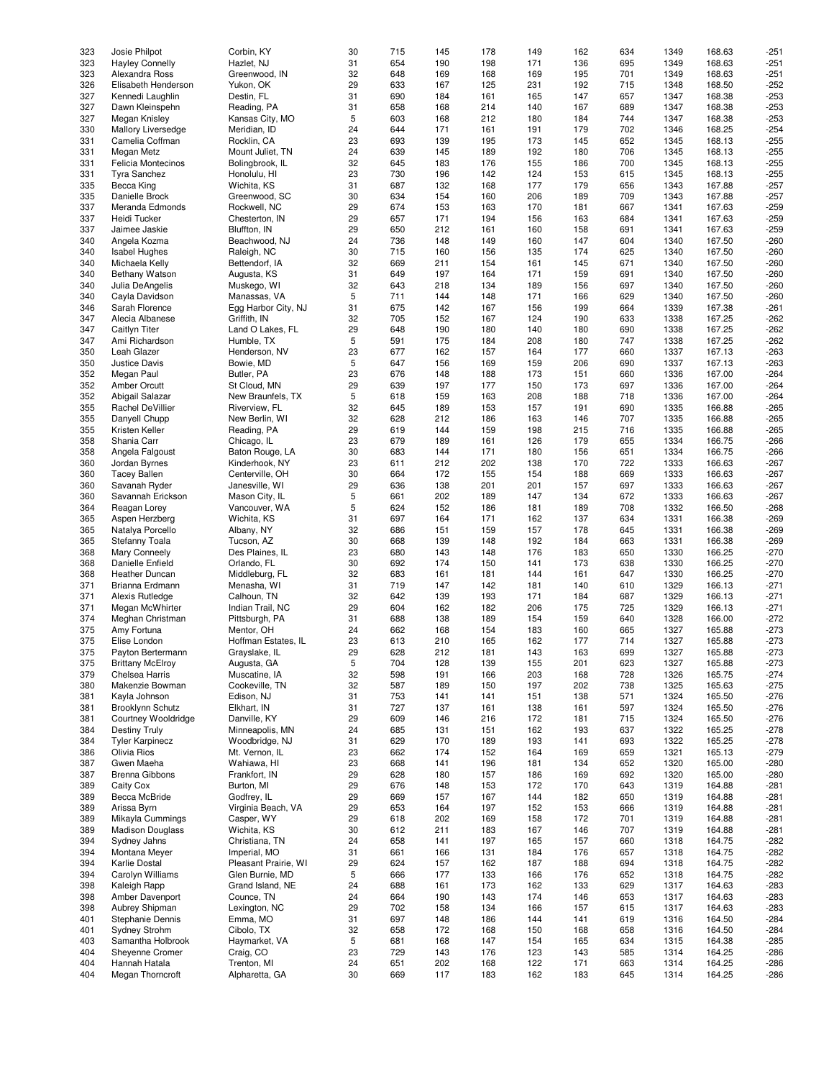| 323 | Josie Philpot           | Corbin, KY           | 30 | 715 | 145 | 178 | 149 | 162 | 634 | 1349 | 168.63 | $-251$ |
|-----|-------------------------|----------------------|----|-----|-----|-----|-----|-----|-----|------|--------|--------|
| 323 | <b>Hayley Connelly</b>  | Hazlet, NJ           | 31 | 654 | 190 | 198 | 171 | 136 | 695 | 1349 | 168.63 | $-251$ |
|     |                         |                      |    |     |     |     |     |     |     |      |        |        |
| 323 | Alexandra Ross          | Greenwood, IN        | 32 | 648 | 169 | 168 | 169 | 195 | 701 | 1349 | 168.63 | $-251$ |
| 326 | Elisabeth Henderson     | Yukon, OK            | 29 | 633 | 167 | 125 | 231 | 192 | 715 | 1348 | 168.50 | $-252$ |
| 327 | Kennedi Laughlin        | Destin, FL           | 31 | 690 | 184 | 161 | 165 | 147 | 657 | 1347 | 168.38 | $-253$ |
|     |                         |                      |    |     |     |     |     |     |     |      |        |        |
| 327 | Dawn Kleinspehn         | Reading, PA          | 31 | 658 | 168 | 214 | 140 | 167 | 689 | 1347 | 168.38 | $-253$ |
| 327 | Megan Knisley           | Kansas City, MO      | 5  | 603 | 168 | 212 | 180 | 184 | 744 | 1347 | 168.38 | $-253$ |
| 330 | Mallory Liversedge      | Meridian, ID         | 24 | 644 | 171 | 161 | 191 | 179 | 702 | 1346 | 168.25 | $-254$ |
|     |                         |                      |    |     |     |     |     |     |     |      |        |        |
| 331 | Camelia Coffman         | Rocklin, CA          | 23 | 693 | 139 | 195 | 173 | 145 | 652 | 1345 | 168.13 | $-255$ |
| 331 | Megan Metz              | Mount Juliet, TN     | 24 | 639 | 145 | 189 | 192 | 180 | 706 | 1345 | 168.13 | $-255$ |
| 331 | Felicia Montecinos      | Bolingbrook, IL      | 32 | 645 | 183 | 176 | 155 | 186 | 700 | 1345 | 168.13 | $-255$ |
|     |                         |                      |    |     |     |     |     |     |     |      |        |        |
| 331 | <b>Tyra Sanchez</b>     | Honolulu, HI         | 23 | 730 | 196 | 142 | 124 | 153 | 615 | 1345 | 168.13 | $-255$ |
| 335 | Becca King              | Wichita, KS          | 31 | 687 | 132 | 168 | 177 | 179 | 656 | 1343 | 167.88 | $-257$ |
| 335 | Danielle Brock          | Greenwood, SC        | 30 | 634 | 154 | 160 | 206 | 189 | 709 | 1343 | 167.88 | $-257$ |
|     |                         |                      |    |     |     |     |     |     |     |      |        |        |
| 337 | Meranda Edmonds         | Rockwell, NC         | 29 | 674 | 153 | 163 | 170 | 181 | 667 | 1341 | 167.63 | $-259$ |
| 337 | Heidi Tucker            | Chesterton, IN       | 29 | 657 | 171 | 194 | 156 | 163 | 684 | 1341 | 167.63 | $-259$ |
| 337 | Jaimee Jaskie           | Bluffton, IN         | 29 | 650 | 212 | 161 | 160 | 158 | 691 | 1341 | 167.63 | $-259$ |
|     |                         |                      |    |     |     |     |     |     |     |      |        |        |
| 340 | Angela Kozma            | Beachwood, NJ        | 24 | 736 | 148 | 149 | 160 | 147 | 604 | 1340 | 167.50 | $-260$ |
| 340 | <b>Isabel Hughes</b>    | Raleigh, NC          | 30 | 715 | 160 | 156 | 135 | 174 | 625 | 1340 | 167.50 | $-260$ |
| 340 | Michaela Kelly          | Bettendorf, IA       | 32 | 669 | 211 | 154 | 161 | 145 | 671 | 1340 | 167.50 | $-260$ |
|     |                         |                      |    |     |     |     |     |     |     |      |        |        |
| 340 | <b>Bethany Watson</b>   | Augusta, KS          | 31 | 649 | 197 | 164 | 171 | 159 | 691 | 1340 | 167.50 | $-260$ |
| 340 | Julia DeAngelis         | Muskego, WI          | 32 | 643 | 218 | 134 | 189 | 156 | 697 | 1340 | 167.50 | $-260$ |
| 340 | Cayla Davidson          | Manassas, VA         | 5  | 711 | 144 | 148 | 171 | 166 | 629 | 1340 | 167.50 | $-260$ |
|     |                         |                      |    |     |     |     |     |     |     |      |        |        |
| 346 | Sarah Florence          | Egg Harbor City, NJ  | 31 | 675 | 142 | 167 | 156 | 199 | 664 | 1339 | 167.38 | $-261$ |
| 347 | Alecia Albanese         | Griffith. IN         | 32 | 705 | 152 | 167 | 124 | 190 | 633 | 1338 | 167.25 | $-262$ |
| 347 | Caitlyn Titer           | Land O Lakes, FL     | 29 | 648 | 190 | 180 | 140 | 180 | 690 | 1338 | 167.25 | $-262$ |
|     |                         |                      |    |     |     |     |     |     |     |      |        |        |
| 347 | Ami Richardson          | Humble, TX           | 5  | 591 | 175 | 184 | 208 | 180 | 747 | 1338 | 167.25 | $-262$ |
| 350 | Leah Glazer             | Henderson, NV        | 23 | 677 | 162 | 157 | 164 | 177 | 660 | 1337 | 167.13 | $-263$ |
| 350 | Justice Davis           | Bowie, MD            | 5  | 647 | 156 | 169 | 159 | 206 | 690 | 1337 | 167.13 | $-263$ |
|     |                         |                      |    |     |     |     |     |     |     |      |        |        |
| 352 | Megan Paul              | Butler, PA           | 23 | 676 | 148 | 188 | 173 | 151 | 660 | 1336 | 167.00 | $-264$ |
| 352 | Amber Orcutt            | St Cloud, MN         | 29 | 639 | 197 | 177 | 150 | 173 | 697 | 1336 | 167.00 | $-264$ |
| 352 | Abigail Salazar         | New Braunfels, TX    | 5  | 618 | 159 | 163 | 208 | 188 | 718 | 1336 | 167.00 | $-264$ |
|     |                         |                      |    |     |     |     |     |     |     |      |        |        |
| 355 | Rachel DeVillier        | Riverview, FL        | 32 | 645 | 189 | 153 | 157 | 191 | 690 | 1335 | 166.88 | $-265$ |
| 355 | Danyell Chupp           | New Berlin, WI       | 32 | 628 | 212 | 186 | 163 | 146 | 707 | 1335 | 166.88 | $-265$ |
|     |                         |                      |    |     |     |     |     |     |     |      |        |        |
| 355 | Kristen Keller          | Reading, PA          | 29 | 619 | 144 | 159 | 198 | 215 | 716 | 1335 | 166.88 | $-265$ |
| 358 | Shania Carr             | Chicago, IL          | 23 | 679 | 189 | 161 | 126 | 179 | 655 | 1334 | 166.75 | $-266$ |
| 358 | Angela Falgoust         | Baton Rouge, LA      | 30 | 683 | 144 | 171 | 180 | 156 | 651 | 1334 | 166.75 | $-266$ |
|     |                         |                      |    |     |     |     |     |     |     |      |        |        |
| 360 | Jordan Byrnes           | Kinderhook, NY       | 23 | 611 | 212 | 202 | 138 | 170 | 722 | 1333 | 166.63 | $-267$ |
| 360 | <b>Tacey Ballen</b>     | Centerville, OH      | 30 | 664 | 172 | 155 | 154 | 188 | 669 | 1333 | 166.63 | $-267$ |
| 360 | Savanah Ryder           | Janesville, WI       | 29 | 636 | 138 | 201 | 201 | 157 | 697 | 1333 | 166.63 | $-267$ |
|     |                         |                      |    |     |     |     |     |     |     |      |        |        |
| 360 | Savannah Erickson       | Mason City, IL       | 5  | 661 | 202 | 189 | 147 | 134 | 672 | 1333 | 166.63 | $-267$ |
| 364 | Reagan Lorey            | Vancouver, WA        | 5  | 624 | 152 | 186 | 181 | 189 | 708 | 1332 | 166.50 | $-268$ |
| 365 | Aspen Herzberg          | Wichita, KS          | 31 | 697 | 164 | 171 | 162 | 137 | 634 | 1331 | 166.38 | $-269$ |
|     |                         |                      |    |     |     |     |     |     |     |      |        |        |
| 365 | Natalya Porcello        | Albany, NY           | 32 | 686 | 151 | 159 | 157 | 178 | 645 | 1331 | 166.38 | $-269$ |
| 365 | Stefanny Toala          | Tucson, AZ           | 30 | 668 | 139 | 148 | 192 | 184 | 663 | 1331 | 166.38 | $-269$ |
| 368 | Mary Conneely           | Des Plaines, IL      | 23 | 680 | 143 | 148 | 176 | 183 | 650 | 1330 | 166.25 | $-270$ |
|     |                         |                      |    |     |     |     |     |     |     |      |        |        |
| 368 | Danielle Enfield        | Orlando, FL          | 30 | 692 | 174 | 150 | 141 | 173 | 638 | 1330 | 166.25 | $-270$ |
| 368 | Heather Duncan          | Middleburg, FL       | 32 | 683 | 161 | 181 | 144 | 161 | 647 | 1330 | 166.25 | $-270$ |
| 371 | Brianna Erdmann         | Menasha, WI          | 31 | 719 | 147 | 142 | 181 | 140 | 610 | 1329 | 166.13 | $-271$ |
|     |                         |                      |    |     |     |     |     |     |     |      |        |        |
| 371 | Alexis Rutledge         | Calhoun, TN          | 32 | 642 | 139 | 193 | 171 | 184 | 687 | 1329 | 166.13 | $-271$ |
| 371 | Megan McWhirter         | Indian Trail, NC     | 29 | 604 | 162 | 182 | 206 | 175 | 725 | 1329 | 166.13 | $-271$ |
| 374 | Meghan Christman        | Pittsburgh, PA       | 31 | 688 | 138 | 189 | 154 | 159 | 640 | 1328 | 166.00 | $-272$ |
|     |                         |                      |    |     |     |     |     |     |     |      |        |        |
| 375 | Amy Fortuna             | Mentor, OH           | 24 | 662 | 168 | 154 | 183 | 160 | 665 | 1327 | 165.88 | $-273$ |
| 375 | Elise London            | Hoffman Estates, IL  | 23 | 613 | 210 | 165 | 162 | 177 | 714 | 1327 | 165.88 | $-273$ |
| 375 | Payton Bertermann       | Grayslake, IL        | 29 | 628 | 212 | 181 | 143 | 163 | 699 | 1327 | 165.88 | $-273$ |
|     |                         |                      |    |     |     |     |     |     |     |      |        |        |
| 375 | <b>Brittany McElroy</b> | Augusta, GA          | 5  | 704 | 128 | 139 | 155 | 201 | 623 | 1327 | 165.88 | $-273$ |
| 379 | Chelsea Harris          | Muscatine, IA        | 32 | 598 | 191 | 166 | 203 | 168 | 728 | 1326 | 165.75 | $-274$ |
| 380 | Makenzie Bowman         | Cookeville, TN       | 32 | 587 | 189 | 150 | 197 | 202 | 738 | 1325 | 165.63 | $-275$ |
|     |                         |                      |    |     |     |     |     |     |     |      |        |        |
| 381 | Kayla Johnson           | Edison, NJ           | 31 | 753 | 141 | 141 | 151 | 138 | 571 | 1324 | 165.50 | $-276$ |
| 381 | <b>Brooklynn Schutz</b> | Elkhart, IN          | 31 | 727 | 137 | 161 | 138 | 161 | 597 | 1324 | 165.50 | $-276$ |
| 381 | Courtney Wooldridge     | Danville, KY         | 29 | 609 | 146 | 216 | 172 | 181 | 715 | 1324 | 165.50 | $-276$ |
|     |                         |                      |    |     |     |     |     |     |     |      |        |        |
| 384 | <b>Destiny Truly</b>    | Minneapolis, MN      | 24 | 685 | 131 | 151 | 162 | 193 | 637 | 1322 | 165.25 | $-278$ |
| 384 | <b>Tyler Karpinecz</b>  | Woodbridge, NJ       | 31 | 629 | 170 | 189 | 193 | 141 | 693 | 1322 | 165.25 | $-278$ |
| 386 | Olivia Rios             | Mt. Vernon, IL       | 23 | 662 | 174 | 152 | 164 | 169 | 659 | 1321 | 165.13 | $-279$ |
|     |                         |                      |    |     |     |     |     |     |     |      |        |        |
| 387 | Gwen Maeha              | Wahiawa, HI          | 23 | 668 | 141 | 196 | 181 | 134 | 652 | 1320 | 165.00 | $-280$ |
| 387 | Brenna Gibbons          | Frankfort, IN        | 29 | 628 | 180 | 157 | 186 | 169 | 692 | 1320 | 165.00 | $-280$ |
| 389 | Caity Cox               | Burton, MI           | 29 | 676 | 148 | 153 | 172 | 170 | 643 | 1319 | 164.88 | $-281$ |
|     |                         |                      |    |     |     |     |     |     |     |      |        |        |
| 389 | Becca McBride           | Godfrey, IL          | 29 | 669 | 157 | 167 | 144 | 182 | 650 | 1319 | 164.88 | $-281$ |
| 389 | Arissa Byrn             | Virginia Beach, VA   | 29 | 653 | 164 | 197 | 152 | 153 | 666 | 1319 | 164.88 | $-281$ |
| 389 | Mikayla Cummings        | Casper, WY           | 29 | 618 | 202 | 169 | 158 | 172 | 701 | 1319 | 164.88 | $-281$ |
|     |                         |                      |    |     |     |     |     |     |     |      |        |        |
| 389 | <b>Madison Douglass</b> | Wichita, KS          | 30 | 612 | 211 | 183 | 167 | 146 | 707 | 1319 | 164.88 | $-281$ |
| 394 | Sydney Jahns            | Christiana, TN       | 24 | 658 | 141 | 197 | 165 | 157 | 660 | 1318 | 164.75 | $-282$ |
| 394 |                         | Imperial, MO         |    |     |     |     |     | 176 |     |      | 164.75 |        |
|     | Montana Meyer           |                      | 31 | 661 | 166 | 131 | 184 |     | 657 | 1318 |        | $-282$ |
| 394 | Karlie Dostal           | Pleasant Prairie, WI | 29 | 624 | 157 | 162 | 187 | 188 | 694 | 1318 | 164.75 | $-282$ |
| 394 | Carolyn Williams        | Glen Burnie, MD      | 5  | 666 | 177 | 133 | 166 | 176 | 652 | 1318 | 164.75 | $-282$ |
|     |                         |                      |    |     |     |     |     |     |     |      |        |        |
| 398 | Kaleigh Rapp            | Grand Island, NE     | 24 | 688 | 161 | 173 | 162 | 133 | 629 | 1317 | 164.63 | $-283$ |
| 398 | Amber Davenport         | Counce, TN           | 24 | 664 | 190 | 143 | 174 | 146 | 653 | 1317 | 164.63 | $-283$ |
| 398 | Aubrey Shipman          | Lexington, NC        | 29 | 702 | 158 | 134 | 166 | 157 | 615 | 1317 | 164.63 | $-283$ |
|     |                         |                      |    |     |     |     |     |     |     |      |        |        |
| 401 | Stephanie Dennis        | Emma, MO             | 31 | 697 | 148 | 186 | 144 | 141 | 619 | 1316 | 164.50 | $-284$ |
| 401 | Sydney Strohm           | Cibolo, TX           | 32 | 658 | 172 | 168 | 150 | 168 | 658 | 1316 | 164.50 | $-284$ |
| 403 | Samantha Holbrook       | Haymarket, VA        | 5  | 681 | 168 | 147 | 154 | 165 | 634 | 1315 | 164.38 | $-285$ |
| 404 |                         |                      |    | 729 |     |     |     |     |     |      |        |        |
|     | Sheyenne Cromer         | Craig, CO            | 23 |     | 143 | 176 | 123 | 143 | 585 | 1314 | 164.25 | $-286$ |
| 404 | Hannah Hatala           | Trenton, MI          | 24 | 651 | 202 | 168 | 122 | 171 | 663 | 1314 | 164.25 | $-286$ |
| 404 | Megan Thorncroft        | Alpharetta, GA       | 30 | 669 | 117 | 183 | 162 | 183 | 645 | 1314 | 164.25 | $-286$ |
|     |                         |                      |    |     |     |     |     |     |     |      |        |        |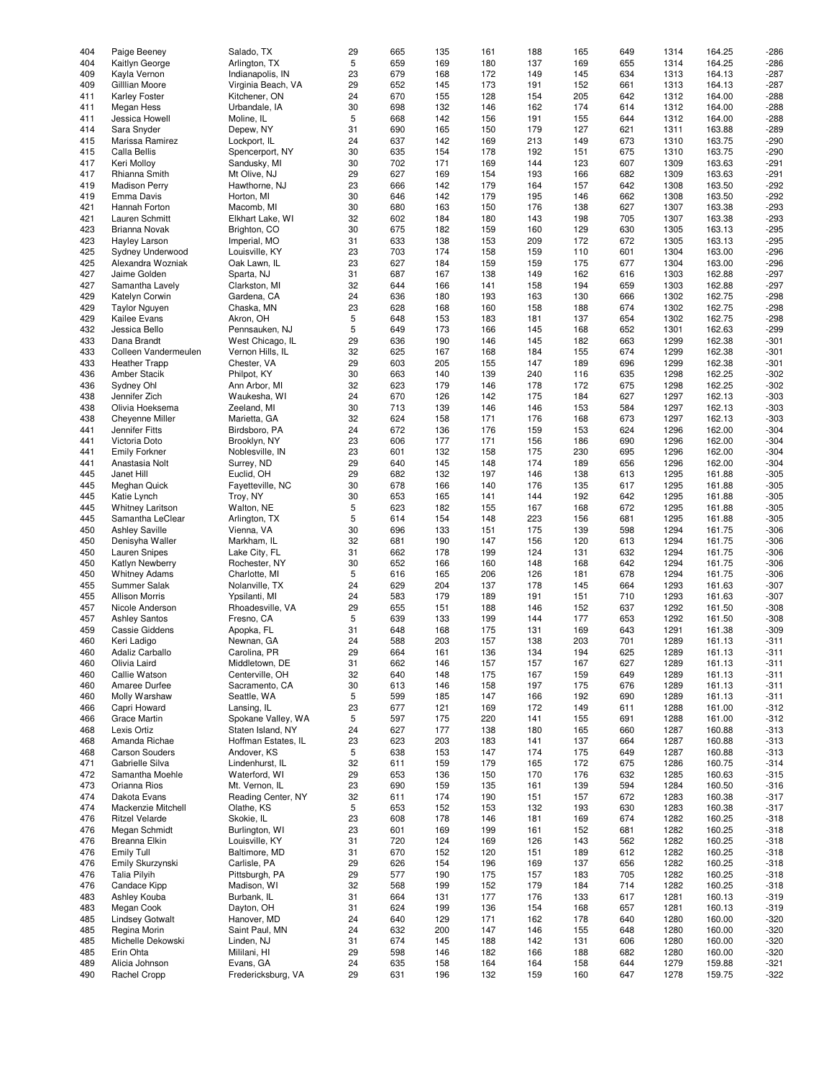| 404 | Paige Beeney            | Salado, TX          | 29 | 665 | 135 | 161 | 188 | 165 | 649 | 1314 | 164.25 | $-286$ |
|-----|-------------------------|---------------------|----|-----|-----|-----|-----|-----|-----|------|--------|--------|
| 404 | Kaitlyn George          | Arlington, TX       | 5  | 659 | 169 | 180 | 137 | 169 | 655 | 1314 | 164.25 | $-286$ |
| 409 | Kayla Vernon            | Indianapolis, IN    | 23 | 679 | 168 | 172 | 149 | 145 | 634 | 1313 | 164.13 | $-287$ |
|     |                         |                     |    |     |     |     |     |     |     |      |        |        |
| 409 | Gilllian Moore          | Virginia Beach, VA  | 29 | 652 | 145 | 173 | 191 | 152 | 661 | 1313 | 164.13 | $-287$ |
| 411 | <b>Karley Foster</b>    | Kitchener, ON       | 24 | 670 | 155 | 128 | 154 | 205 | 642 | 1312 | 164.00 | $-288$ |
| 411 | Megan Hess              | Urbandale, IA       | 30 | 698 | 132 | 146 | 162 | 174 | 614 | 1312 | 164.00 | $-288$ |
| 411 | Jessica Howell          | Moline, IL          | 5  | 668 | 142 | 156 | 191 | 155 | 644 | 1312 | 164.00 | $-288$ |
|     |                         |                     | 31 |     |     |     |     |     |     |      |        |        |
| 414 | Sara Snyder             | Depew, NY           |    | 690 | 165 | 150 | 179 | 127 | 621 | 1311 | 163.88 | $-289$ |
| 415 | Marissa Ramirez         | Lockport, IL        | 24 | 637 | 142 | 169 | 213 | 149 | 673 | 1310 | 163.75 | $-290$ |
| 415 | Calla Bellis            | Spencerport, NY     | 30 | 635 | 154 | 178 | 192 | 151 | 675 | 1310 | 163.75 | $-290$ |
| 417 | Keri Molloy             | Sandusky, MI        | 30 | 702 | 171 | 169 | 144 | 123 | 607 | 1309 | 163.63 | $-291$ |
| 417 | Rhianna Smith           | Mt Olive, NJ        | 29 | 627 | 169 | 154 | 193 | 166 | 682 | 1309 | 163.63 | $-291$ |
|     |                         |                     |    |     |     |     |     |     |     |      |        |        |
| 419 | <b>Madison Perry</b>    | Hawthorne, NJ       | 23 | 666 | 142 | 179 | 164 | 157 | 642 | 1308 | 163.50 | $-292$ |
| 419 | Emma Davis              | Horton, MI          | 30 | 646 | 142 | 179 | 195 | 146 | 662 | 1308 | 163.50 | $-292$ |
| 421 | Hannah Forton           | Macomb, MI          | 30 | 680 | 163 | 150 | 176 | 138 | 627 | 1307 | 163.38 | $-293$ |
| 421 | Lauren Schmitt          | Elkhart Lake, WI    | 32 | 602 | 184 | 180 | 143 | 198 | 705 | 1307 | 163.38 | $-293$ |
| 423 | <b>Brianna Novak</b>    |                     | 30 | 675 | 182 | 159 | 160 |     | 630 |      |        | $-295$ |
|     |                         | Brighton, CO        |    |     |     |     |     | 129 |     | 1305 | 163.13 |        |
| 423 | Hayley Larson           | Imperial, MO        | 31 | 633 | 138 | 153 | 209 | 172 | 672 | 1305 | 163.13 | $-295$ |
| 425 | Sydney Underwood        | Louisville, KY      | 23 | 703 | 174 | 158 | 159 | 110 | 601 | 1304 | 163.00 | $-296$ |
| 425 | Alexandra Wozniak       | Oak Lawn, IL        | 23 | 627 | 184 | 159 | 159 | 175 | 677 | 1304 | 163.00 | $-296$ |
| 427 | Jaime Golden            | Sparta, NJ          | 31 | 687 | 167 | 138 | 149 | 162 | 616 | 1303 | 162.88 | $-297$ |
|     |                         |                     |    |     |     |     |     |     |     |      |        |        |
| 427 | Samantha Lavely         | Clarkston, MI       | 32 | 644 | 166 | 141 | 158 | 194 | 659 | 1303 | 162.88 | $-297$ |
| 429 | Katelyn Corwin          | Gardena, CA         | 24 | 636 | 180 | 193 | 163 | 130 | 666 | 1302 | 162.75 | $-298$ |
| 429 | <b>Taylor Nguyen</b>    | Chaska, MN          | 23 | 628 | 168 | 160 | 158 | 188 | 674 | 1302 | 162.75 | $-298$ |
| 429 | Kailee Evans            | Akron, OH           | 5  | 648 | 153 | 183 | 181 | 137 | 654 | 1302 | 162.75 | $-298$ |
| 432 | Jessica Bello           | Pennsauken, NJ      | 5  | 649 | 173 | 166 | 145 | 168 | 652 | 1301 | 162.63 | $-299$ |
|     |                         |                     |    |     |     |     |     |     |     |      |        |        |
| 433 | Dana Brandt             | West Chicago, IL    | 29 | 636 | 190 | 146 | 145 | 182 | 663 | 1299 | 162.38 | $-301$ |
| 433 | Colleen Vandermeulen    | Vernon Hills, IL    | 32 | 625 | 167 | 168 | 184 | 155 | 674 | 1299 | 162.38 | $-301$ |
| 433 | <b>Heather Trapp</b>    | Chester, VA         | 29 | 603 | 205 | 155 | 147 | 189 | 696 | 1299 | 162.38 | $-301$ |
| 436 | Amber Stacik            | Philpot, KY         | 30 | 663 | 140 | 139 | 240 | 116 | 635 | 1298 | 162.25 | $-302$ |
|     |                         |                     |    |     |     |     |     |     |     |      |        |        |
| 436 | Sydney Ohl              | Ann Arbor, MI       | 32 | 623 | 179 | 146 | 178 | 172 | 675 | 1298 | 162.25 | $-302$ |
| 438 | Jennifer Zich           | Waukesha, WI        | 24 | 670 | 126 | 142 | 175 | 184 | 627 | 1297 | 162.13 | $-303$ |
| 438 | Olivia Hoeksema         | Zeeland, MI         | 30 | 713 | 139 | 146 | 146 | 153 | 584 | 1297 | 162.13 | $-303$ |
| 438 | Cheyenne Miller         | Marietta, GA        | 32 | 624 | 158 | 171 | 176 | 168 | 673 | 1297 | 162.13 | $-303$ |
| 441 | Jennifer Fitts          | Birdsboro, PA       | 24 | 672 | 136 | 176 | 159 | 153 | 624 | 1296 | 162.00 | $-304$ |
|     |                         |                     |    |     |     |     |     |     |     |      |        |        |
| 441 | Victoria Doto           | Brooklyn, NY        | 23 | 606 | 177 | 171 | 156 | 186 | 690 | 1296 | 162.00 | $-304$ |
| 441 | <b>Emily Forkner</b>    | Noblesville, IN     | 23 | 601 | 132 | 158 | 175 | 230 | 695 | 1296 | 162.00 | $-304$ |
| 441 | Anastasia Nolt          | Surrey, ND          | 29 | 640 | 145 | 148 | 174 | 189 | 656 | 1296 | 162.00 | $-304$ |
| 445 | Janet Hill              | Euclid, OH          | 29 | 682 | 132 | 197 | 146 | 138 | 613 | 1295 | 161.88 | $-305$ |
| 445 | Meghan Quick            | Fayetteville, NC    | 30 | 678 | 166 | 140 | 176 | 135 | 617 | 1295 | 161.88 | $-305$ |
|     |                         |                     |    |     |     |     |     |     |     |      |        |        |
| 445 | Katie Lynch             | Troy, NY            | 30 | 653 | 165 | 141 | 144 | 192 | 642 | 1295 | 161.88 | $-305$ |
| 445 | <b>Whitney Laritson</b> | Walton, NE          | 5  | 623 | 182 | 155 | 167 | 168 | 672 | 1295 | 161.88 | $-305$ |
| 445 | Samantha LeClear        | Arlington, TX       | 5  | 614 | 154 | 148 | 223 | 156 | 681 | 1295 | 161.88 | $-305$ |
| 450 | <b>Ashley Saville</b>   | Vienna, VA          | 30 | 696 | 133 | 151 | 175 | 139 | 598 | 1294 | 161.75 | $-306$ |
|     |                         |                     | 32 |     |     | 147 |     |     |     | 1294 |        | $-306$ |
| 450 | Denisyha Waller         | Markham, IL         |    | 681 | 190 |     | 156 | 120 | 613 |      | 161.75 |        |
| 450 | <b>Lauren Snipes</b>    | Lake City, FL       | 31 | 662 | 178 | 199 | 124 | 131 | 632 | 1294 | 161.75 | $-306$ |
| 450 | <b>Katlyn Newberry</b>  | Rochester, NY       | 30 | 652 | 166 | 160 | 148 | 168 | 642 | 1294 | 161.75 | $-306$ |
| 450 | <b>Whitney Adams</b>    | Charlotte, MI       | 5  | 616 | 165 | 206 | 126 | 181 | 678 | 1294 | 161.75 | $-306$ |
| 455 | Summer Salak            | Nolanville, TX      | 24 | 629 | 204 | 137 | 178 | 145 | 664 | 1293 | 161.63 | $-307$ |
|     | <b>Allison Morris</b>   |                     |    |     |     |     |     |     |     |      |        |        |
| 455 |                         | Ypsilanti, MI       | 24 | 583 | 179 | 189 | 191 | 151 | 710 | 1293 | 161.63 | $-307$ |
| 457 | Nicole Anderson         | Rhoadesville, VA    | 29 | 655 | 151 | 188 | 146 | 152 | 637 | 1292 | 161.50 | $-308$ |
| 457 | <b>Ashley Santos</b>    | Fresno, CA          | 5  | 639 | 133 | 199 | 144 | 177 | 653 | 1292 | 161.50 | $-308$ |
| 459 | Cassie Giddens          | Apopka, FL          | 31 | 648 | 168 | 175 | 131 | 169 | 643 | 1291 | 161.38 | $-309$ |
| 460 | Keri Ladigo             | Newnan, GA          | 24 | 588 | 203 | 157 | 138 | 203 | 701 | 1289 | 161.13 | $-311$ |
|     |                         |                     |    |     |     |     |     |     |     |      |        |        |
| 460 | Adaliz Carballo         | Carolina, PR        | 29 | 664 | 161 | 136 | 134 | 194 | 625 | 1289 | 161.13 | $-311$ |
| 460 | Olivia Laird            | Middletown, DE      | 31 | 662 | 146 | 157 | 157 | 167 | 627 | 1289 | 161.13 | $-311$ |
| 460 | Callie Watson           | Centerville, OH     | 32 | 640 | 148 | 175 | 167 | 159 | 649 | 1289 | 161.13 | $-311$ |
| 460 | Amaree Durfee           | Sacramento, CA      | 30 | 613 | 146 | 158 | 197 | 175 | 676 | 1289 | 161.13 | $-311$ |
| 460 | Molly Warshaw           | Seattle, WA         | 5  | 599 | 185 | 147 | 166 | 192 | 690 | 1289 | 161.13 | $-311$ |
|     | Capri Howard            |                     |    |     |     |     |     |     |     |      |        |        |
| 466 |                         | Lansing, IL         | 23 | 677 | 121 | 169 | 172 | 149 | 611 | 1288 | 161.00 | $-312$ |
| 466 | Grace Martin            | Spokane Valley, WA  | 5  | 597 | 175 | 220 | 141 | 155 | 691 | 1288 | 161.00 | $-312$ |
| 468 | Lexis Ortiz             | Staten Island, NY   | 24 | 627 | 177 | 138 | 180 | 165 | 660 | 1287 | 160.88 | $-313$ |
| 468 | Amanda Richae           | Hoffman Estates, IL | 23 | 623 | 203 | 183 | 141 | 137 | 664 | 1287 | 160.88 | $-313$ |
| 468 | <b>Carson Souders</b>   | Andover, KS         | 5  | 638 | 153 | 147 | 174 | 175 | 649 | 1287 | 160.88 | $-313$ |
|     |                         |                     |    |     |     |     |     |     |     |      |        |        |
| 471 | Gabrielle Silva         | Lindenhurst, IL     | 32 | 611 | 159 | 179 | 165 | 172 | 675 | 1286 | 160.75 | $-314$ |
| 472 | Samantha Moehle         | Waterford, WI       | 29 | 653 | 136 | 150 | 170 | 176 | 632 | 1285 | 160.63 | $-315$ |
| 473 | Orianna Rios            | Mt. Vernon, IL      | 23 | 690 | 159 | 135 | 161 | 139 | 594 | 1284 | 160.50 | $-316$ |
| 474 | Dakota Evans            | Reading Center, NY  | 32 | 611 | 174 | 190 | 151 | 157 | 672 | 1283 | 160.38 | $-317$ |
|     | Mackenzie Mitchell      | Olathe, KS          | 5  |     |     |     |     |     |     |      | 160.38 | $-317$ |
| 474 |                         |                     |    | 653 | 152 | 153 | 132 | 193 | 630 | 1283 |        |        |
| 476 | <b>Ritzel Velarde</b>   | Skokie, IL          | 23 | 608 | 178 | 146 | 181 | 169 | 674 | 1282 | 160.25 | $-318$ |
| 476 | Megan Schmidt           | Burlington, WI      | 23 | 601 | 169 | 199 | 161 | 152 | 681 | 1282 | 160.25 | $-318$ |
| 476 | Breanna Elkin           | Louisville, KY      | 31 | 720 | 124 | 169 | 126 | 143 | 562 | 1282 | 160.25 | $-318$ |
| 476 | Emily Tull              | Baltimore, MD       | 31 | 670 | 152 | 120 | 151 | 189 | 612 | 1282 | 160.25 | $-318$ |
|     |                         |                     |    |     |     |     |     |     |     |      |        |        |
| 476 | Emily Skurzynski        | Carlisle, PA        | 29 | 626 | 154 | 196 | 169 | 137 | 656 | 1282 | 160.25 | $-318$ |
| 476 | <b>Talia Pilyih</b>     | Pittsburgh, PA      | 29 | 577 | 190 | 175 | 157 | 183 | 705 | 1282 | 160.25 | $-318$ |
| 476 | Candace Kipp            | Madison, WI         | 32 | 568 | 199 | 152 | 179 | 184 | 714 | 1282 | 160.25 | $-318$ |
| 483 | Ashley Kouba            | Burbank, IL         | 31 | 664 | 131 | 177 | 176 | 133 | 617 | 1281 | 160.13 | $-319$ |
| 483 | Megan Cook              | Dayton, OH          | 31 | 624 | 199 | 136 | 154 | 168 | 657 | 1281 | 160.13 | $-319$ |
|     |                         |                     |    |     |     |     |     |     |     |      |        |        |
| 485 | <b>Lindsey Gotwalt</b>  | Hanover, MD         | 24 | 640 | 129 | 171 | 162 | 178 | 640 | 1280 | 160.00 | $-320$ |
| 485 | Regina Morin            | Saint Paul, MN      | 24 | 632 | 200 | 147 | 146 | 155 | 648 | 1280 | 160.00 | $-320$ |
| 485 | Michelle Dekowski       | Linden, NJ          | 31 | 674 | 145 | 188 | 142 | 131 | 606 | 1280 | 160.00 | $-320$ |
| 485 | Erin Ohta               | Mililani, HI        | 29 | 598 | 146 | 182 | 166 | 188 | 682 | 1280 | 160.00 | $-320$ |
|     | Alicia Johnson          |                     | 24 |     |     |     |     |     | 644 |      |        |        |
| 489 |                         | Evans, GA           |    | 635 | 158 | 164 | 164 | 158 |     | 1279 | 159.88 | $-321$ |
| 490 | Rachel Cropp            | Fredericksburg, VA  | 29 | 631 | 196 | 132 | 159 | 160 | 647 | 1278 | 159.75 | $-322$ |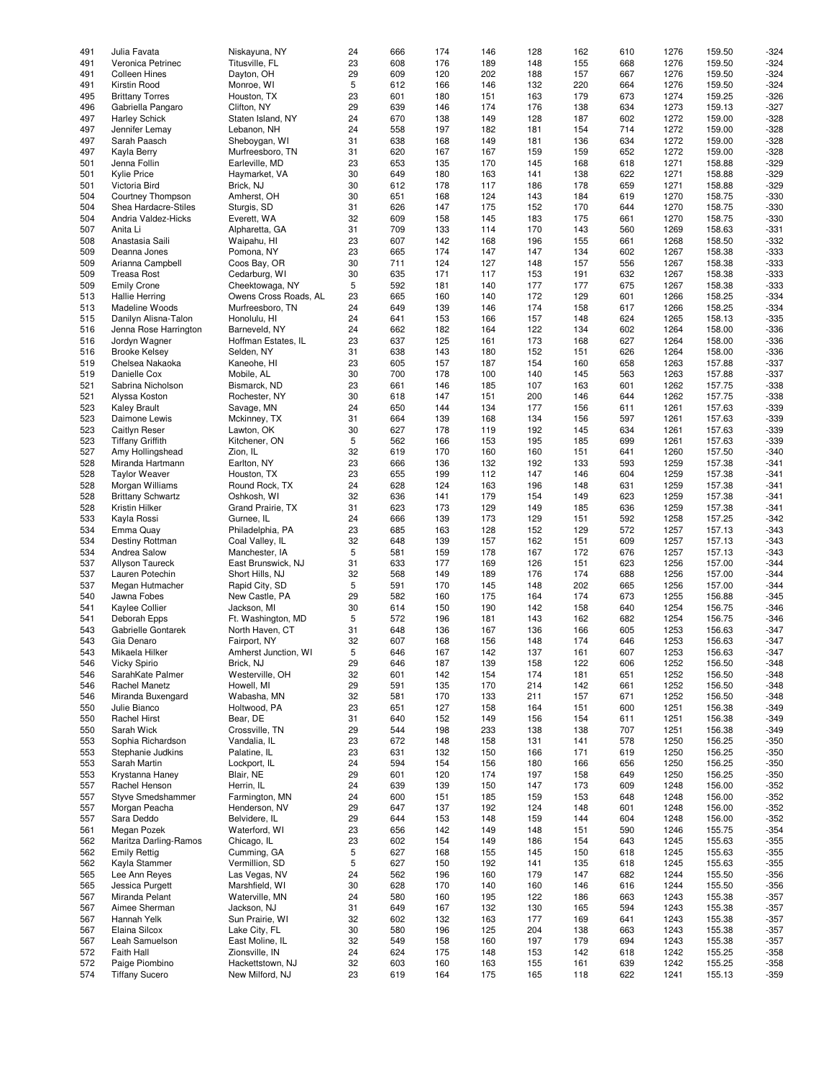| 491 | Julia Favata             | Niskayuna, NY         | 24 | 666 | 174 | 146 | 128 | 162 | 610 | 1276 | 159.50 | $-324$ |
|-----|--------------------------|-----------------------|----|-----|-----|-----|-----|-----|-----|------|--------|--------|
|     |                          |                       |    |     |     |     |     |     |     |      |        |        |
| 491 | Veronica Petrinec        | Titusville, FL        | 23 | 608 | 176 | 189 | 148 | 155 | 668 | 1276 | 159.50 | $-324$ |
| 491 | <b>Colleen Hines</b>     | Dayton, OH            | 29 | 609 | 120 | 202 | 188 | 157 | 667 | 1276 | 159.50 | $-324$ |
| 491 | Kirstin Rood             | Monroe, WI            | 5  | 612 | 166 | 146 | 132 | 220 | 664 | 1276 | 159.50 | $-324$ |
| 495 |                          |                       | 23 | 601 |     | 151 | 163 | 179 | 673 | 1274 | 159.25 | $-326$ |
|     | <b>Brittany Torres</b>   | Houston, TX           |    |     | 180 |     |     |     |     |      |        |        |
| 496 | Gabriella Pangaro        | Clifton, NY           | 29 | 639 | 146 | 174 | 176 | 138 | 634 | 1273 | 159.13 | $-327$ |
| 497 | <b>Harley Schick</b>     | Staten Island, NY     | 24 | 670 | 138 | 149 | 128 | 187 | 602 | 1272 | 159.00 | $-328$ |
| 497 | Jennifer Lemay           | Lebanon, NH           | 24 | 558 | 197 | 182 | 181 | 154 | 714 | 1272 | 159.00 | $-328$ |
|     |                          |                       |    |     |     |     |     |     |     |      |        |        |
| 497 | Sarah Paasch             | Sheboygan, WI         | 31 | 638 | 168 | 149 | 181 | 136 | 634 | 1272 | 159.00 | $-328$ |
| 497 | Kayla Berry              | Murfreesboro, TN      | 31 | 620 | 167 | 167 | 159 | 159 | 652 | 1272 | 159.00 | $-328$ |
| 501 | Jenna Follin             | Earleville, MD        | 23 | 653 | 135 | 170 | 145 | 168 | 618 | 1271 | 158.88 | $-329$ |
|     |                          |                       |    |     |     |     |     |     |     |      |        |        |
| 501 | <b>Kylie Price</b>       | Haymarket, VA         | 30 | 649 | 180 | 163 | 141 | 138 | 622 | 1271 | 158.88 | $-329$ |
| 501 | Victoria Bird            | Brick, NJ             | 30 | 612 | 178 | 117 | 186 | 178 | 659 | 1271 | 158.88 | $-329$ |
| 504 | Courtney Thompson        | Amherst, OH           | 30 | 651 | 168 | 124 | 143 | 184 | 619 | 1270 | 158.75 | $-330$ |
|     |                          |                       |    |     |     |     |     |     |     |      |        |        |
| 504 | Shea Hardacre-Stiles     | Sturgis, SD           | 31 | 626 | 147 | 175 | 152 | 170 | 644 | 1270 | 158.75 | $-330$ |
| 504 | Andria Valdez-Hicks      | Everett, WA           | 32 | 609 | 158 | 145 | 183 | 175 | 661 | 1270 | 158.75 | $-330$ |
| 507 | Anita Li                 | Alpharetta, GA        | 31 | 709 | 133 | 114 | 170 | 143 | 560 | 1269 | 158.63 | $-331$ |
|     |                          |                       |    |     |     |     |     |     |     |      |        |        |
| 508 | Anastasia Saili          | Waipahu, HI           | 23 | 607 | 142 | 168 | 196 | 155 | 661 | 1268 | 158.50 | $-332$ |
| 509 | Deanna Jones             | Pomona, NY            | 23 | 665 | 174 | 147 | 147 | 134 | 602 | 1267 | 158.38 | $-333$ |
| 509 | Arianna Campbell         | Coos Bay, OR          | 30 | 711 | 124 | 127 | 148 | 157 | 556 | 1267 | 158.38 | $-333$ |
|     |                          |                       |    |     |     |     |     |     |     |      |        |        |
| 509 | <b>Treasa Rost</b>       | Cedarburg, WI         | 30 | 635 | 171 | 117 | 153 | 191 | 632 | 1267 | 158.38 | $-333$ |
| 509 | <b>Emily Crone</b>       | Cheektowaga, NY       | 5  | 592 | 181 | 140 | 177 | 177 | 675 | 1267 | 158.38 | $-333$ |
| 513 | <b>Hallie Herring</b>    | Owens Cross Roads, AL | 23 | 665 | 160 | 140 | 172 | 129 | 601 | 1266 | 158.25 | $-334$ |
|     |                          |                       |    |     |     |     |     |     |     |      |        |        |
| 513 | Madeline Woods           | Murfreesboro, TN      | 24 | 649 | 139 | 146 | 174 | 158 | 617 | 1266 | 158.25 | $-334$ |
| 515 | Danilyn Alisna-Talon     | Honolulu, HI          | 24 | 641 | 153 | 166 | 157 | 148 | 624 | 1265 | 158.13 | $-335$ |
| 516 | Jenna Rose Harrington    | Barneveld, NY         | 24 | 662 | 182 | 164 | 122 | 134 | 602 | 1264 | 158.00 | $-336$ |
|     |                          |                       |    |     |     |     |     |     |     |      |        |        |
| 516 | Jordyn Wagner            | Hoffman Estates, IL   | 23 | 637 | 125 | 161 | 173 | 168 | 627 | 1264 | 158.00 | $-336$ |
| 516 | <b>Brooke Kelsey</b>     | Selden, NY            | 31 | 638 | 143 | 180 | 152 | 151 | 626 | 1264 | 158.00 | $-336$ |
| 519 | Chelsea Nakaoka          | Kaneohe, HI           | 23 | 605 | 157 | 187 | 154 | 160 | 658 | 1263 | 157.88 | $-337$ |
|     |                          |                       |    |     |     |     |     |     |     |      |        |        |
| 519 | Danielle Cox             | Mobile, AL            | 30 | 700 | 178 | 100 | 140 | 145 | 563 | 1263 | 157.88 | $-337$ |
| 521 | Sabrina Nicholson        | Bismarck, ND          | 23 | 661 | 146 | 185 | 107 | 163 | 601 | 1262 | 157.75 | $-338$ |
| 521 | Alyssa Koston            | Rochester, NY         | 30 | 618 | 147 | 151 | 200 | 146 | 644 | 1262 | 157.75 | $-338$ |
|     |                          |                       |    |     |     |     |     |     |     |      |        |        |
| 523 | <b>Kaley Brault</b>      | Savage, MN            | 24 | 650 | 144 | 134 | 177 | 156 | 611 | 1261 | 157.63 | $-339$ |
| 523 | Daimone Lewis            | Mckinney, TX          | 31 | 664 | 139 | 168 | 134 | 156 | 597 | 1261 | 157.63 | $-339$ |
| 523 | Caitlyn Reser            | Lawton, OK            | 30 | 627 | 178 | 119 | 192 | 145 | 634 | 1261 | 157.63 | $-339$ |
|     |                          |                       |    |     |     |     |     |     |     |      |        |        |
| 523 | <b>Tiffany Griffith</b>  | Kitchener, ON         | 5  | 562 | 166 | 153 | 195 | 185 | 699 | 1261 | 157.63 | $-339$ |
| 527 | Amy Hollingshead         | Zion, IL              | 32 | 619 | 170 | 160 | 160 | 151 | 641 | 1260 | 157.50 | $-340$ |
| 528 | Miranda Hartmann         | Earlton, NY           | 23 | 666 | 136 | 132 | 192 | 133 | 593 | 1259 | 157.38 | $-341$ |
|     |                          |                       |    |     |     |     |     |     |     |      |        |        |
| 528 | <b>Taylor Weaver</b>     | Houston, TX           | 23 | 655 | 199 | 112 | 147 | 146 | 604 | 1259 | 157.38 | $-341$ |
| 528 | Morgan Williams          | Round Rock, TX        | 24 | 628 | 124 | 163 | 196 | 148 | 631 | 1259 | 157.38 | $-341$ |
| 528 | <b>Brittany Schwartz</b> | Oshkosh, WI           | 32 | 636 | 141 | 179 | 154 | 149 | 623 | 1259 | 157.38 | $-341$ |
|     |                          |                       |    |     |     |     |     |     |     |      |        |        |
| 528 | Kristin Hilker           | Grand Prairie, TX     | 31 | 623 | 173 | 129 | 149 | 185 | 636 | 1259 | 157.38 | $-341$ |
| 533 | Kayla Rossi              | Gurnee, IL            | 24 | 666 | 139 | 173 | 129 | 151 | 592 | 1258 | 157.25 | $-342$ |
| 534 | Emma Quay                | Philadelphia, PA      | 23 | 685 | 163 | 128 | 152 | 129 | 572 | 1257 | 157.13 | $-343$ |
|     |                          |                       |    |     |     |     |     |     |     |      |        |        |
| 534 | Destiny Rottman          | Coal Valley, IL       | 32 | 648 | 139 | 157 | 162 | 151 | 609 | 1257 | 157.13 | $-343$ |
| 534 | Andrea Salow             | Manchester, IA        | 5  | 581 | 159 | 178 | 167 | 172 | 676 | 1257 | 157.13 | $-343$ |
| 537 | Allyson Taureck          | East Brunswick, NJ    | 31 | 633 | 177 | 169 | 126 | 151 | 623 | 1256 | 157.00 | $-344$ |
|     |                          |                       |    |     |     |     |     |     |     |      |        |        |
| 537 | Lauren Potechin          | Short Hills, NJ       | 32 | 568 | 149 | 189 | 176 | 174 | 688 | 1256 | 157.00 | $-344$ |
| 537 | Megan Hutmacher          | Rapid City, SD        | 5  | 591 | 170 | 145 | 148 | 202 | 665 | 1256 | 157.00 | $-344$ |
| 540 | Jawna Fobes              | New Castle, PA        | 29 | 582 | 160 | 175 | 164 | 174 | 673 | 1255 | 156.88 | $-345$ |
|     |                          |                       |    |     |     |     |     |     |     |      |        |        |
| 541 | Kaylee Collier           | Jackson, MI           | 30 | 614 | 150 | 190 | 142 | 158 | 640 | 1254 | 156.75 | $-346$ |
| 541 | Deborah Epps             | Ft. Washington, MD    | 5  | 572 | 196 | 181 | 143 | 162 | 682 | 1254 | 156.75 | $-346$ |
| 543 | Gabrielle Gontarek       | North Haven, CT       | 31 | 648 | 136 | 167 | 136 | 166 | 605 | 1253 | 156.63 | $-347$ |
|     |                          |                       |    |     |     |     |     |     |     |      |        |        |
| 543 | Gia Denaro               | Fairport, NY          | 32 | 607 | 168 | 156 | 148 | 174 | 646 | 1253 | 156.63 | $-347$ |
| 543 | Mikaela Hilker           | Amherst Junction, WI  | 5  | 646 | 167 | 142 | 137 | 161 | 607 | 1253 | 156.63 | $-347$ |
| 546 | Vicky Spirio             | Brick, NJ             | 29 | 646 | 187 | 139 | 158 | 122 | 606 | 1252 | 156.50 | $-348$ |
|     |                          |                       |    |     |     |     |     |     |     |      |        |        |
| 546 | SarahKate Palmer         | Westerville, OH       | 32 | 601 | 142 | 154 | 174 | 181 | 651 | 1252 | 156.50 | $-348$ |
| 546 | Rachel Manetz            | Howell, MI            | 29 | 591 | 135 | 170 | 214 | 142 | 661 | 1252 | 156.50 | $-348$ |
| 546 | Miranda Buxengard        | Wabasha, MN           | 32 | 581 | 170 | 133 | 211 | 157 | 671 | 1252 | 156.50 | $-348$ |
|     |                          |                       |    |     |     |     |     |     |     |      |        |        |
| 550 | Julie Bianco             | Holtwood, PA          | 23 | 651 | 127 | 158 | 164 | 151 | 600 | 1251 | 156.38 | $-349$ |
| 550 | Rachel Hirst             | Bear, DE              | 31 | 640 | 152 | 149 | 156 | 154 | 611 | 1251 | 156.38 | $-349$ |
| 550 | Sarah Wick               | Crossville, TN        | 29 | 544 | 198 | 233 | 138 | 138 | 707 | 1251 | 156.38 | $-349$ |
|     |                          |                       |    |     |     |     |     |     |     |      |        |        |
| 553 | Sophia Richardson        | Vandalia, IL          | 23 | 672 | 148 | 158 | 131 | 141 | 578 | 1250 | 156.25 | $-350$ |
| 553 | Stephanie Judkins        | Palatine, IL          | 23 | 631 | 132 | 150 | 166 | 171 | 619 | 1250 | 156.25 | $-350$ |
| 553 | Sarah Martin             | Lockport, IL          | 24 | 594 | 154 | 156 | 180 | 166 | 656 | 1250 | 156.25 | $-350$ |
|     |                          | Blair, NE             | 29 |     |     |     | 197 |     |     | 1250 | 156.25 |        |
| 553 | Krystanna Haney          |                       |    | 601 | 120 | 174 |     | 158 | 649 |      |        | $-350$ |
| 557 | Rachel Henson            | Herrin, IL            | 24 | 639 | 139 | 150 | 147 | 173 | 609 | 1248 | 156.00 | $-352$ |
| 557 | Styve Smedshammer        | Farmington, MN        | 24 | 600 | 151 | 185 | 159 | 153 | 648 | 1248 | 156.00 | $-352$ |
| 557 | Morgan Peacha            | Henderson, NV         | 29 | 647 | 137 | 192 | 124 | 148 | 601 | 1248 | 156.00 | $-352$ |
|     |                          |                       |    |     |     |     |     |     |     |      |        |        |
| 557 | Sara Deddo               | Belvidere, IL         | 29 | 644 | 153 | 148 | 159 | 144 | 604 | 1248 | 156.00 | $-352$ |
| 561 | Megan Pozek              | Waterford, WI         | 23 | 656 | 142 | 149 | 148 | 151 | 590 | 1246 | 155.75 | $-354$ |
| 562 | Maritza Darling-Ramos    | Chicago, IL           | 23 | 602 | 154 | 149 | 186 | 154 | 643 | 1245 | 155.63 | $-355$ |
|     |                          |                       |    |     |     |     |     |     |     |      |        |        |
| 562 | <b>Emily Rettig</b>      | Cumming, GA           | 5  | 627 | 168 | 155 | 145 | 150 | 618 | 1245 | 155.63 | $-355$ |
| 562 | Kayla Stammer            | Vermillion, SD        | 5  | 627 | 150 | 192 | 141 | 135 | 618 | 1245 | 155.63 | $-355$ |
| 565 | Lee Ann Reyes            | Las Vegas, NV         | 24 | 562 | 196 | 160 | 179 | 147 | 682 | 1244 | 155.50 | $-356$ |
|     |                          |                       |    |     |     |     |     |     |     |      |        |        |
| 565 | Jessica Purgett          | Marshfield, WI        | 30 | 628 | 170 | 140 | 160 | 146 | 616 | 1244 | 155.50 | $-356$ |
| 567 | Miranda Pelant           | Waterville, MN        | 24 | 580 | 160 | 195 | 122 | 186 | 663 | 1243 | 155.38 | $-357$ |
| 567 | Aimee Sherman            | Jackson, NJ           | 31 | 649 | 167 | 132 | 130 | 165 | 594 | 1243 | 155.38 | $-357$ |
|     |                          |                       |    |     |     |     |     |     |     |      |        |        |
| 567 | Hannah Yelk              | Sun Prairie, WI       | 32 | 602 | 132 | 163 | 177 | 169 | 641 | 1243 | 155.38 | $-357$ |
| 567 | Elaina Silcox            | Lake City, FL         | 30 | 580 | 196 | 125 | 204 | 138 | 663 | 1243 | 155.38 | $-357$ |
| 567 | Leah Samuelson           | East Moline, IL       | 32 | 549 | 158 | 160 | 197 | 179 | 694 | 1243 | 155.38 | $-357$ |
|     |                          |                       |    |     |     |     |     |     |     |      |        |        |
| 572 | <b>Faith Hall</b>        | Zionsville, IN        | 24 | 624 | 175 | 148 | 153 | 142 | 618 | 1242 | 155.25 | $-358$ |
| 572 | Paige Piombino           | Hackettstown, NJ      | 32 | 603 | 160 | 163 | 155 | 161 | 639 | 1242 | 155.25 | $-358$ |
| 574 | <b>Tiffany Sucero</b>    | New Milford, NJ       | 23 | 619 | 164 | 175 | 165 | 118 | 622 | 1241 | 155.13 | $-359$ |
|     |                          |                       |    |     |     |     |     |     |     |      |        |        |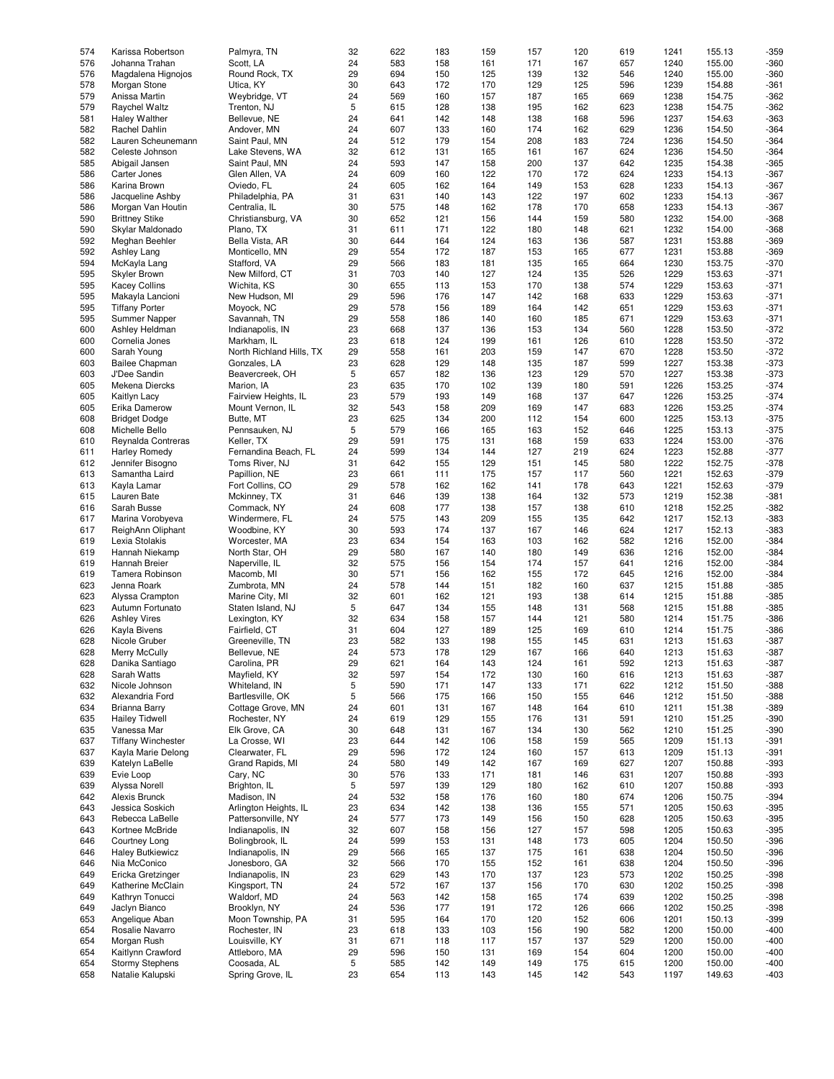| 574 | Karissa Robertson         | Palmyra, TN              | 32 | 622 | 183 | 159 | 157 | 120 | 619 | 1241 | 155.13 | $-359$ |
|-----|---------------------------|--------------------------|----|-----|-----|-----|-----|-----|-----|------|--------|--------|
| 576 | Johanna Trahan            | Scott, LA                | 24 | 583 | 158 | 161 | 171 | 167 | 657 | 1240 | 155.00 | $-360$ |
|     |                           |                          |    |     |     |     |     |     |     |      |        |        |
| 576 | Magdalena Hignojos        | Round Rock, TX           | 29 | 694 | 150 | 125 | 139 | 132 | 546 | 1240 | 155.00 | $-360$ |
| 578 | Morgan Stone              | Utica, KY                | 30 | 643 | 172 | 170 | 129 | 125 | 596 | 1239 | 154.88 | $-361$ |
| 579 | Anissa Martin             | Weybridge, VT            | 24 | 569 | 160 | 157 | 187 | 165 | 669 | 1238 | 154.75 | $-362$ |
|     |                           |                          |    |     |     |     |     |     |     |      |        |        |
| 579 | Raychel Waltz             | Trenton, NJ              | 5  | 615 | 128 | 138 | 195 | 162 | 623 | 1238 | 154.75 | $-362$ |
| 581 | <b>Haley Walther</b>      | Bellevue, NE             | 24 | 641 | 142 | 148 | 138 | 168 | 596 | 1237 | 154.63 | $-363$ |
| 582 | Rachel Dahlin             | Andover, MN              | 24 | 607 | 133 | 160 | 174 | 162 | 629 | 1236 | 154.50 | $-364$ |
|     |                           |                          |    |     |     |     |     |     |     |      |        |        |
| 582 | Lauren Scheunemann        | Saint Paul, MN           | 24 | 512 | 179 | 154 | 208 | 183 | 724 | 1236 | 154.50 | $-364$ |
| 582 | Celeste Johnson           | Lake Stevens, WA         | 32 | 612 | 131 | 165 | 161 | 167 | 624 | 1236 | 154.50 | $-364$ |
| 585 | Abigail Jansen            | Saint Paul, MN           | 24 | 593 | 147 | 158 | 200 | 137 | 642 | 1235 | 154.38 | $-365$ |
|     |                           |                          |    |     |     |     |     |     |     |      |        |        |
| 586 | Carter Jones              | Glen Allen, VA           | 24 | 609 | 160 | 122 | 170 | 172 | 624 | 1233 | 154.13 | $-367$ |
| 586 | Karina Brown              | Oviedo, FL               | 24 | 605 | 162 | 164 | 149 | 153 | 628 | 1233 | 154.13 | $-367$ |
| 586 | Jacqueline Ashby          | Philadelphia, PA         | 31 | 631 | 140 | 143 | 122 | 197 | 602 | 1233 | 154.13 | $-367$ |
|     |                           |                          |    |     |     |     |     |     |     |      |        |        |
| 586 | Morgan Van Houtin         | Centralia, IL            | 30 | 575 | 148 | 162 | 178 | 170 | 658 | 1233 | 154.13 | $-367$ |
| 590 | <b>Brittney Stike</b>     | Christiansburg, VA       | 30 | 652 | 121 | 156 | 144 | 159 | 580 | 1232 | 154.00 | $-368$ |
| 590 | Skylar Maldonado          | Plano, TX                | 31 | 611 | 171 | 122 | 180 | 148 | 621 | 1232 | 154.00 | $-368$ |
|     |                           |                          |    |     |     |     |     |     |     |      |        |        |
| 592 | Meghan Beehler            | Bella Vista, AR          | 30 | 644 | 164 | 124 | 163 | 136 | 587 | 1231 | 153.88 | $-369$ |
| 592 | Ashley Lang               | Monticello, MN           | 29 | 554 | 172 | 187 | 153 | 165 | 677 | 1231 | 153.88 | $-369$ |
| 594 | McKayla Lang              | Stafford, VA             | 29 | 566 | 183 | 181 | 135 | 165 | 664 | 1230 | 153.75 | $-370$ |
|     |                           |                          |    |     |     |     |     |     |     |      |        |        |
| 595 | Skyler Brown              | New Milford, CT          | 31 | 703 | 140 | 127 | 124 | 135 | 526 | 1229 | 153.63 | $-371$ |
| 595 | <b>Kacey Collins</b>      | Wichita, KS              | 30 | 655 | 113 | 153 | 170 | 138 | 574 | 1229 | 153.63 | $-371$ |
| 595 | Makayla Lancioni          | New Hudson, MI           | 29 | 596 | 176 | 147 | 142 | 168 | 633 | 1229 | 153.63 | $-371$ |
|     |                           |                          |    |     |     |     |     |     |     |      |        |        |
| 595 | <b>Tiffany Porter</b>     | Moyock, NC               | 29 | 578 | 156 | 189 | 164 | 142 | 651 | 1229 | 153.63 | $-371$ |
| 595 | Summer Napper             | Savannah, TN             | 29 | 558 | 186 | 140 | 160 | 185 | 671 | 1229 | 153.63 | $-371$ |
|     |                           |                          |    | 668 |     |     |     |     |     |      |        | $-372$ |
| 600 | Ashley Heldman            | Indianapolis, IN         | 23 |     | 137 | 136 | 153 | 134 | 560 | 1228 | 153.50 |        |
| 600 | Cornelia Jones            | Markham, IL              | 23 | 618 | 124 | 199 | 161 | 126 | 610 | 1228 | 153.50 | $-372$ |
| 600 | Sarah Young               | North Richland Hills, TX | 29 | 558 | 161 | 203 | 159 | 147 | 670 | 1228 | 153.50 | $-372$ |
|     |                           |                          |    |     |     |     |     |     |     |      |        |        |
| 603 | <b>Bailee Chapman</b>     | Gonzales, LA             | 23 | 628 | 129 | 148 | 135 | 187 | 599 | 1227 | 153.38 | $-373$ |
| 603 | J'Dee Sandin              | Beavercreek, OH          | 5  | 657 | 182 | 136 | 123 | 129 | 570 | 1227 | 153.38 | $-373$ |
| 605 | Mekena Diercks            | Marion, IA               | 23 | 635 | 170 | 102 | 139 | 180 | 591 | 1226 | 153.25 | $-374$ |
|     |                           |                          |    |     |     |     |     |     |     |      |        |        |
| 605 | Kaitlyn Lacy              | Fairview Heights, IL     | 23 | 579 | 193 | 149 | 168 | 137 | 647 | 1226 | 153.25 | $-374$ |
| 605 | Erika Damerow             | Mount Vernon, IL         | 32 | 543 | 158 | 209 | 169 | 147 | 683 | 1226 | 153.25 | $-374$ |
| 608 | <b>Bridget Dodge</b>      | Butte, MT                | 23 | 625 | 134 | 200 | 112 | 154 | 600 | 1225 | 153.13 | $-375$ |
|     |                           |                          |    |     |     |     |     |     |     |      |        |        |
| 608 | Michelle Bello            | Pennsauken, NJ           | 5  | 579 | 166 | 165 | 163 | 152 | 646 | 1225 | 153.13 | $-375$ |
| 610 | Reynalda Contreras        | Keller, TX               | 29 | 591 | 175 | 131 | 168 | 159 | 633 | 1224 | 153.00 | $-376$ |
| 611 | <b>Harley Romedy</b>      | Fernandina Beach, FL     | 24 | 599 | 134 | 144 | 127 | 219 | 624 | 1223 | 152.88 | $-377$ |
|     |                           |                          |    |     |     |     |     |     |     |      |        |        |
| 612 | Jennifer Bisogno          | Toms River, NJ           | 31 | 642 | 155 | 129 | 151 | 145 | 580 | 1222 | 152.75 | $-378$ |
| 613 | Samantha Laird            | Papillion, NE            | 23 | 661 | 111 | 175 | 157 | 117 | 560 | 1221 | 152.63 | $-379$ |
| 613 | Kayla Lamar               | Fort Collins, CO         | 29 | 578 | 162 | 162 | 141 | 178 | 643 | 1221 | 152.63 | $-379$ |
|     |                           |                          |    |     |     |     |     |     |     |      |        |        |
| 615 | Lauren Bate               | Mckinney, TX             | 31 | 646 | 139 | 138 | 164 | 132 | 573 | 1219 | 152.38 | $-381$ |
| 616 | Sarah Busse               | Commack, NY              | 24 | 608 | 177 | 138 | 157 | 138 | 610 | 1218 | 152.25 | $-382$ |
| 617 |                           |                          | 24 | 575 | 143 | 209 | 155 | 135 | 642 | 1217 | 152.13 |        |
|     | Marina Vorobyeva          | Windermere, FL           |    |     |     |     |     |     |     |      |        | $-383$ |
| 617 | ReighAnn Oliphant         | Woodbine, KY             | 30 | 593 | 174 | 137 | 167 | 146 | 624 | 1217 | 152.13 | $-383$ |
| 619 | Lexia Stolakis            | Worcester, MA            | 23 | 634 | 154 | 163 | 103 | 162 | 582 | 1216 | 152.00 | $-384$ |
|     |                           |                          |    |     |     |     |     |     |     |      |        |        |
| 619 | Hannah Niekamp            | North Star, OH           | 29 | 580 | 167 | 140 | 180 | 149 | 636 | 1216 | 152.00 | $-384$ |
| 619 | Hannah Breier             | Naperville, IL           | 32 | 575 | 156 | 154 | 174 | 157 | 641 | 1216 | 152.00 | $-384$ |
| 619 | Tamera Robinson           | Macomb, MI               | 30 | 571 | 156 | 162 | 155 | 172 | 645 | 1216 | 152.00 | $-384$ |
|     |                           |                          |    |     |     |     |     |     |     |      |        |        |
| 623 | Jenna Roark               | Zumbrota, MN             | 24 | 578 | 144 | 151 | 182 | 160 | 637 | 1215 | 151.88 | $-385$ |
| 623 | Alyssa Crampton           | Marine City, MI          | 32 | 601 | 162 | 121 | 193 | 138 | 614 | 1215 | 151.88 | $-385$ |
| 623 | Autumn Fortunato          | Staten Island, NJ        | 5  | 647 | 134 | 155 | 148 | 131 | 568 | 1215 | 151.88 | $-385$ |
|     |                           |                          |    |     |     |     |     |     |     |      |        |        |
| 626 | <b>Ashley Vires</b>       | Lexington, KY            | 32 | 634 | 158 | 157 | 144 | 121 | 580 | 1214 | 151.75 | $-386$ |
| 626 | Kayla Bivens              | Fairfield, CT            | 31 | 604 | 127 | 189 | 125 | 169 | 610 | 1214 | 151.75 | $-386$ |
| 628 | Nicole Gruber             | Greeneville, TN          | 23 | 582 | 133 | 198 | 155 | 145 | 631 | 1213 | 151.63 | $-387$ |
|     |                           |                          |    |     |     |     |     |     |     |      |        |        |
| 628 | Merry McCully             | Bellevue, NE             | 24 | 573 | 178 | 129 | 167 | 166 | 640 | 1213 | 151.63 | $-387$ |
| 628 | Danika Santiago           | Carolina, PR             | 29 | 621 | 164 | 143 | 124 | 161 | 592 | 1213 | 151.63 | -387   |
| 628 | Sarah Watts               | Mayfield, KY             | 32 | 597 | 154 | 172 | 130 | 160 | 616 | 1213 | 151.63 | $-387$ |
|     |                           |                          |    |     |     |     |     |     |     |      |        |        |
| 632 | Nicole Johnson            | Whiteland, IN            | 5  | 590 | 171 | 147 | 133 | 171 | 622 | 1212 | 151.50 | $-388$ |
| 632 | Alexandria Ford           | Bartlesville, OK         | 5  | 566 | 175 | 166 | 150 | 155 | 646 | 1212 | 151.50 | $-388$ |
| 634 | <b>Brianna Barry</b>      | Cottage Grove, MN        | 24 | 601 | 131 | 167 | 148 | 164 | 610 | 1211 | 151.38 | $-389$ |
|     |                           |                          |    |     |     |     |     |     |     |      |        |        |
| 635 | <b>Hailey Tidwell</b>     | Rochester, NY            | 24 | 619 | 129 | 155 | 176 | 131 | 591 | 1210 | 151.25 | $-390$ |
| 635 | Vanessa Mar               | Elk Grove, CA            | 30 | 648 | 131 | 167 | 134 | 130 | 562 | 1210 | 151.25 | $-390$ |
| 637 | <b>Tiffany Winchester</b> | La Crosse, WI            | 23 | 644 | 142 | 106 | 158 | 159 | 565 | 1209 | 151.13 | $-391$ |
|     |                           |                          |    |     |     |     |     |     |     |      |        |        |
| 637 | Kayla Marie Delong        | Clearwater, FL           | 29 | 596 | 172 | 124 | 160 | 157 | 613 | 1209 | 151.13 | $-391$ |
| 639 | Katelyn LaBelle           | Grand Rapids, MI         | 24 | 580 | 149 | 142 | 167 | 169 | 627 | 1207 | 150.88 | $-393$ |
| 639 | Evie Loop                 | Cary, NC                 | 30 | 576 | 133 | 171 | 181 | 146 | 631 | 1207 | 150.88 | $-393$ |
|     |                           |                          |    |     |     |     |     |     |     |      |        |        |
| 639 | Alyssa Norell             | Brighton, IL             | 5  | 597 | 139 | 129 | 180 | 162 | 610 | 1207 | 150.88 | $-393$ |
| 642 | Alexis Brunck             | Madison, IN              | 24 | 532 | 158 | 176 | 160 | 180 | 674 | 1206 | 150.75 | $-394$ |
|     |                           | Arlington Heights, IL    |    |     |     |     |     |     |     |      |        |        |
| 643 | Jessica Soskich           |                          | 23 | 634 | 142 | 138 | 136 | 155 | 571 | 1205 | 150.63 | $-395$ |
| 643 | Rebecca LaBelle           | Pattersonville, NY       | 24 | 577 | 173 | 149 | 156 | 150 | 628 | 1205 | 150.63 | $-395$ |
| 643 | Kortnee McBride           | Indianapolis, IN         | 32 | 607 | 158 | 156 | 127 | 157 | 598 | 1205 | 150.63 | -395   |
|     |                           |                          |    |     |     |     |     |     |     |      |        |        |
| 646 | Courtney Long             | Bolingbrook, IL          | 24 | 599 | 153 | 131 | 148 | 173 | 605 | 1204 | 150.50 | $-396$ |
| 646 | <b>Haley Butkiewicz</b>   | Indianapolis, IN         | 29 | 566 | 165 | 137 | 175 | 161 | 638 | 1204 | 150.50 | $-396$ |
| 646 | Nia McConico              | Jonesboro, GA            | 32 | 566 | 170 | 155 | 152 | 161 | 638 | 1204 | 150.50 | $-396$ |
|     |                           |                          |    |     |     |     |     |     |     |      |        |        |
| 649 | Ericka Gretzinger         | Indianapolis, IN         | 23 | 629 | 143 | 170 | 137 | 123 | 573 | 1202 | 150.25 | $-398$ |
| 649 | Katherine McClain         | Kingsport, TN            | 24 | 572 | 167 | 137 | 156 | 170 | 630 | 1202 | 150.25 | $-398$ |
| 649 | Kathryn Tonucci           | Waldorf, MD              | 24 | 563 | 142 | 158 | 165 | 174 | 639 | 1202 | 150.25 | $-398$ |
|     |                           |                          |    |     |     |     |     |     |     |      |        |        |
| 649 | Jaclyn Bianco             | Brooklyn, NY             | 24 | 536 | 177 | 191 | 172 | 126 | 666 | 1202 | 150.25 | $-398$ |
| 653 | Angelique Aban            | Moon Township, PA        | 31 | 595 | 164 | 170 | 120 | 152 | 606 | 1201 | 150.13 | $-399$ |
| 654 | Rosalie Navarro           | Rochester, IN            | 23 | 618 | 133 | 103 | 156 | 190 | 582 | 1200 | 150.00 | $-400$ |
|     |                           |                          |    |     |     |     |     |     |     |      |        |        |
| 654 | Morgan Rush               | Louisville, KY           | 31 | 671 | 118 | 117 | 157 | 137 | 529 | 1200 | 150.00 | $-400$ |
| 654 | Kaitlynn Crawford         | Attleboro, MA            | 29 | 596 | 150 | 131 | 169 | 154 | 604 | 1200 | 150.00 | $-400$ |
| 654 | <b>Stormy Stephens</b>    | Coosada, AL              | 5  | 585 | 142 | 149 | 149 | 175 | 615 | 1200 | 150.00 | $-400$ |
|     |                           |                          |    |     |     |     |     |     |     |      |        |        |
| 658 | Natalie Kalupski          | Spring Grove, IL         | 23 | 654 | 113 | 143 | 145 | 142 | 543 | 1197 | 149.63 | $-403$ |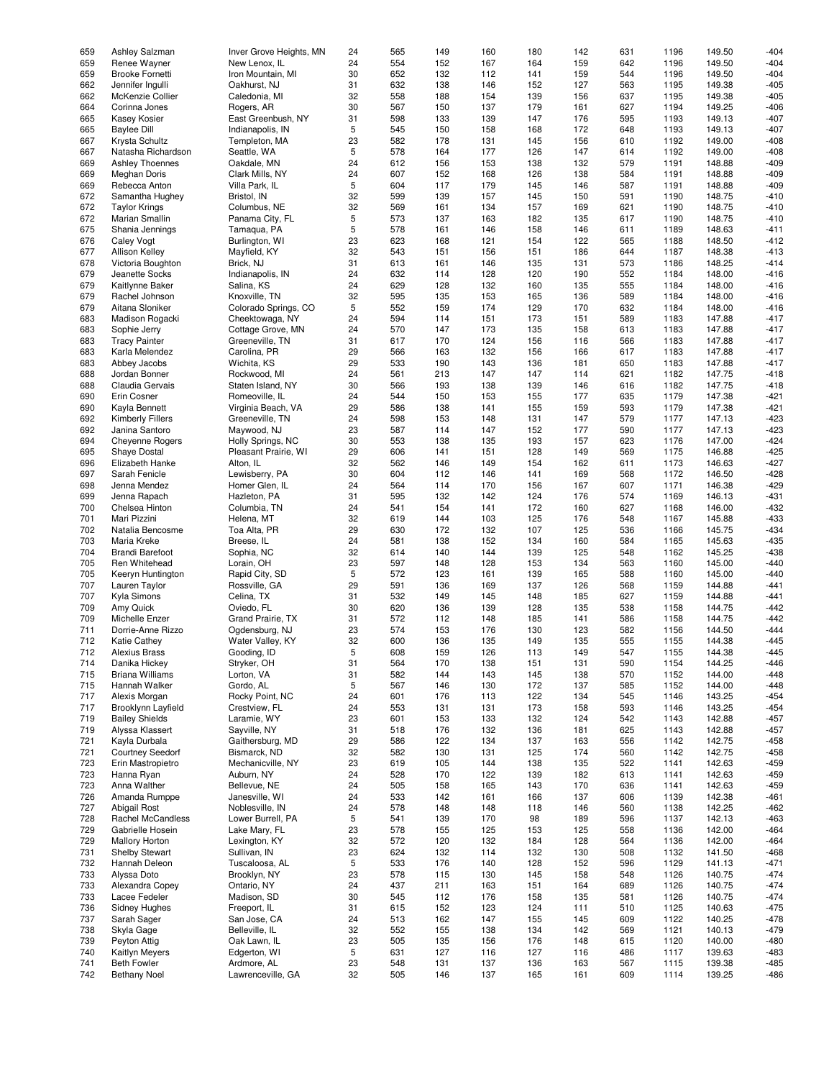| 659 | Ashley Salzman          | Inver Grove Heights, MN | 24 | 565 | 149 | 160 | 180 | 142 | 631 | 1196 | 149.50 | $-404$ |
|-----|-------------------------|-------------------------|----|-----|-----|-----|-----|-----|-----|------|--------|--------|
| 659 | Renee Wayner            | New Lenox, IL           | 24 | 554 | 152 | 167 | 164 | 159 | 642 | 1196 | 149.50 | $-404$ |
| 659 | <b>Brooke Fornetti</b>  | Iron Mountain, MI       | 30 | 652 | 132 | 112 | 141 | 159 | 544 | 1196 | 149.50 | $-404$ |
|     |                         |                         |    |     |     |     |     |     |     |      |        |        |
| 662 | Jennifer Ingulli        | Oakhurst, NJ            | 31 | 632 | 138 | 146 | 152 | 127 | 563 | 1195 | 149.38 | $-405$ |
| 662 | McKenzie Collier        | Caledonia, MI           | 32 | 558 | 188 | 154 | 139 | 156 | 637 | 1195 | 149.38 | $-405$ |
| 664 | Corinna Jones           | Rogers, AR              | 30 | 567 | 150 | 137 | 179 | 161 | 627 | 1194 | 149.25 | $-406$ |
| 665 | <b>Kasey Kosier</b>     | East Greenbush, NY      | 31 | 598 | 133 | 139 | 147 | 176 | 595 | 1193 | 149.13 | $-407$ |
| 665 | <b>Baylee Dill</b>      | Indianapolis, IN        | 5  | 545 | 150 | 158 | 168 | 172 | 648 | 1193 | 149.13 | $-407$ |
|     |                         |                         |    |     |     |     |     |     |     |      |        |        |
| 667 | Krysta Schultz          | Templeton, MA           | 23 | 582 | 178 | 131 | 145 | 156 | 610 | 1192 | 149.00 | $-408$ |
| 667 | Natasha Richardson      | Seattle, WA             | 5  | 578 | 164 | 177 | 126 | 147 | 614 | 1192 | 149.00 | $-408$ |
| 669 | <b>Ashley Thoennes</b>  | Oakdale, MN             | 24 | 612 | 156 | 153 | 138 | 132 | 579 | 1191 | 148.88 | $-409$ |
| 669 | Meghan Doris            | Clark Mills, NY         | 24 | 607 | 152 | 168 | 126 | 138 | 584 | 1191 | 148.88 | $-409$ |
| 669 |                         |                         | 5  | 604 |     |     | 145 |     | 587 |      |        | $-409$ |
|     | Rebecca Anton           | Villa Park, IL          |    |     | 117 | 179 |     | 146 |     | 1191 | 148.88 |        |
| 672 | Samantha Hughey         | Bristol, IN             | 32 | 599 | 139 | 157 | 145 | 150 | 591 | 1190 | 148.75 | $-410$ |
| 672 | <b>Taylor Krings</b>    | Columbus, NE            | 32 | 569 | 161 | 134 | 157 | 169 | 621 | 1190 | 148.75 | $-410$ |
| 672 | Marian Smallin          | Panama City, FL         | 5  | 573 | 137 | 163 | 182 | 135 | 617 | 1190 | 148.75 | $-410$ |
| 675 | Shania Jennings         | Tamaqua, PA             | 5  | 578 | 161 | 146 | 158 | 146 | 611 | 1189 | 148.63 | $-411$ |
|     |                         |                         |    |     |     |     |     |     |     |      |        |        |
| 676 | <b>Caley Vogt</b>       | Burlington, WI          | 23 | 623 | 168 | 121 | 154 | 122 | 565 | 1188 | 148.50 | $-412$ |
| 677 | <b>Allison Kelley</b>   | Mayfield, KY            | 32 | 543 | 151 | 156 | 151 | 186 | 644 | 1187 | 148.38 | $-413$ |
| 678 | Victoria Boughton       | Brick, NJ               | 31 | 613 | 161 | 146 | 135 | 131 | 573 | 1186 | 148.25 | $-414$ |
| 679 | Jeanette Socks          | Indianapolis, IN        | 24 | 632 | 114 | 128 | 120 | 190 | 552 | 1184 | 148.00 | $-416$ |
| 679 | Kaitlynne Baker         | Salina, KS              | 24 | 629 | 128 | 132 | 160 | 135 | 555 | 1184 | 148.00 | $-416$ |
|     |                         |                         |    |     |     |     |     |     |     |      |        |        |
| 679 | Rachel Johnson          | Knoxville, TN           | 32 | 595 | 135 | 153 | 165 | 136 | 589 | 1184 | 148.00 | $-416$ |
| 679 | Aitana Sloniker         | Colorado Springs, CO    | 5  | 552 | 159 | 174 | 129 | 170 | 632 | 1184 | 148.00 | $-416$ |
| 683 | Madison Rogacki         | Cheektowaga, NY         | 24 | 594 | 114 | 151 | 173 | 151 | 589 | 1183 | 147.88 | $-417$ |
| 683 | Sophie Jerry            | Cottage Grove, MN       | 24 | 570 | 147 | 173 | 135 | 158 | 613 | 1183 | 147.88 | $-417$ |
| 683 | <b>Tracy Painter</b>    | Greeneville, TN         | 31 | 617 | 170 | 124 | 156 | 116 | 566 | 1183 | 147.88 | $-417$ |
|     |                         |                         |    |     |     |     |     |     |     |      |        |        |
| 683 | Karla Melendez          | Carolina, PR            | 29 | 566 | 163 | 132 | 156 | 166 | 617 | 1183 | 147.88 | $-417$ |
| 683 | Abbey Jacobs            | Wichita, KS             | 29 | 533 | 190 | 143 | 136 | 181 | 650 | 1183 | 147.88 | $-417$ |
| 688 | Jordan Bonner           | Rockwood, MI            | 24 | 561 | 213 | 147 | 147 | 114 | 621 | 1182 | 147.75 | $-418$ |
| 688 | Claudia Gervais         | Staten Island, NY       | 30 | 566 | 193 | 138 | 139 | 146 | 616 | 1182 | 147.75 | $-418$ |
|     |                         |                         | 24 | 544 |     |     |     |     |     |      |        |        |
| 690 | Erin Cosner             | Romeoville, IL          |    |     | 150 | 153 | 155 | 177 | 635 | 1179 | 147.38 | $-421$ |
| 690 | Kayla Bennett           | Virginia Beach, VA      | 29 | 586 | 138 | 141 | 155 | 159 | 593 | 1179 | 147.38 | $-421$ |
| 692 | <b>Kimberly Fillers</b> | Greeneville, TN         | 24 | 598 | 153 | 148 | 131 | 147 | 579 | 1177 | 147.13 | $-423$ |
| 692 | Janina Santoro          | Maywood, NJ             | 23 | 587 | 114 | 147 | 152 | 177 | 590 | 1177 | 147.13 | $-423$ |
| 694 | <b>Cheyenne Rogers</b>  | Holly Springs, NC       | 30 | 553 | 138 | 135 | 193 | 157 | 623 | 1176 | 147.00 | $-424$ |
|     |                         |                         |    |     |     |     |     |     |     |      |        |        |
| 695 | Shaye Dostal            | Pleasant Prairie, WI    | 29 | 606 | 141 | 151 | 128 | 149 | 569 | 1175 | 146.88 | $-425$ |
| 696 | Elizabeth Hanke         | Alton, IL               | 32 | 562 | 146 | 149 | 154 | 162 | 611 | 1173 | 146.63 | $-427$ |
| 697 | Sarah Fenicle           | Lewisberry, PA          | 30 | 604 | 112 | 146 | 141 | 169 | 568 | 1172 | 146.50 | $-428$ |
| 698 | Jenna Mendez            | Homer Glen, IL          | 24 | 564 | 114 | 170 | 156 | 167 | 607 | 1171 | 146.38 | $-429$ |
| 699 | Jenna Rapach            | Hazleton, PA            | 31 | 595 | 132 | 142 | 124 | 176 | 574 | 1169 | 146.13 | $-431$ |
|     |                         |                         |    |     |     |     |     |     |     |      |        |        |
| 700 | Chelsea Hinton          | Columbia, TN            | 24 | 541 | 154 | 141 | 172 | 160 | 627 | 1168 | 146.00 | $-432$ |
| 701 | Mari Pizzini            | Helena, MT              | 32 | 619 | 144 | 103 | 125 | 176 | 548 | 1167 | 145.88 | $-433$ |
| 702 | Natalia Bencosme        | Toa Alta, PR            | 29 | 630 | 172 | 132 | 107 | 125 | 536 | 1166 | 145.75 | $-434$ |
| 703 | Maria Kreke             | Breese, IL              | 24 | 581 | 138 | 152 | 134 | 160 | 584 | 1165 | 145.63 | $-435$ |
| 704 |                         |                         | 32 | 614 | 140 | 144 | 139 | 125 | 548 | 1162 |        | $-438$ |
|     | <b>Brandi Barefoot</b>  | Sophia, NC              |    |     |     |     |     |     |     |      | 145.25 |        |
| 705 | Ren Whitehead           | Lorain, OH              | 23 | 597 | 148 | 128 | 153 | 134 | 563 | 1160 | 145.00 | $-440$ |
| 705 | Keeryn Huntington       | Rapid City, SD          | 5  | 572 | 123 | 161 | 139 | 165 | 588 | 1160 | 145.00 | $-440$ |
| 707 | Lauren Taylor           | Rossville, GA           | 29 | 591 | 136 | 169 | 137 | 126 | 568 | 1159 | 144.88 | $-441$ |
| 707 | Kyla Simons             | Celina, TX              | 31 | 532 | 149 | 145 | 148 | 185 | 627 | 1159 | 144.88 | $-441$ |
|     |                         |                         |    |     |     |     |     |     |     |      |        |        |
| 709 | Amy Quick               | Oviedo, FL              | 30 | 620 | 136 | 139 | 128 | 135 | 538 | 1158 | 144.75 | $-442$ |
| 709 | Michelle Enzer          | Grand Prairie, TX       | 31 | 572 | 112 | 148 | 185 | 141 | 586 | 1158 | 144.75 | $-442$ |
| 711 | Dorrie-Anne Rizzo       | Ogdensburg, NJ          | 23 | 574 | 153 | 176 | 130 | 123 | 582 | 1156 | 144.50 | $-444$ |
| 712 | <b>Katie Cathey</b>     | Water Valley, KY        | 32 | 600 | 136 | 135 | 149 | 135 | 555 | 1155 | 144.38 | $-445$ |
| 712 | <b>Alexius Brass</b>    | Gooding, ID             | 5  | 608 | 159 | 126 | 113 | 149 | 547 | 1155 | 144.38 | $-445$ |
|     |                         |                         |    |     |     |     |     |     |     |      |        |        |
| 714 | Danika Hickey           | Stryker, OH             | 31 | 564 | 170 | 138 | 151 | 131 | 590 | 1154 | 144.25 | -446   |
| 715 | <b>Briana Williams</b>  | Lorton, VA              | 31 | 582 | 144 | 143 | 145 | 138 | 570 | 1152 | 144.00 | $-448$ |
| 715 | Hannah Walker           | Gordo, AL               | 5  | 567 | 146 | 130 | 172 | 137 | 585 | 1152 | 144.00 | $-448$ |
| 717 | Alexis Morgan           | Rocky Point, NC         | 24 | 601 | 176 | 113 | 122 | 134 | 545 | 1146 | 143.25 | $-454$ |
| 717 | Brooklynn Layfield      | Crestview, FL           | 24 | 553 | 131 | 131 | 173 | 158 | 593 | 1146 | 143.25 | $-454$ |
|     |                         |                         |    |     |     |     |     |     |     |      |        |        |
| 719 | <b>Bailey Shields</b>   | Laramie, WY             | 23 | 601 | 153 | 133 | 132 | 124 | 542 | 1143 | 142.88 | $-457$ |
| 719 | Alyssa Klassert         | Sayville, NY            | 31 | 518 | 176 | 132 | 136 | 181 | 625 | 1143 | 142.88 | $-457$ |
| 721 | Kayla Durbala           | Gaithersburg, MD        | 29 | 586 | 122 | 134 | 137 | 163 | 556 | 1142 | 142.75 | $-458$ |
| 721 | <b>Courtney Seedorf</b> | Bismarck, ND            | 32 | 582 | 130 | 131 | 125 | 174 | 560 | 1142 | 142.75 | $-458$ |
| 723 | Erin Mastropietro       | Mechanicville, NY       | 23 | 619 | 105 | 144 | 138 | 135 | 522 | 1141 | 142.63 | $-459$ |
|     |                         |                         |    |     |     |     |     |     |     |      |        |        |
| 723 | Hanna Ryan              | Auburn, NY              | 24 | 528 | 170 | 122 | 139 | 182 | 613 | 1141 | 142.63 | $-459$ |
| 723 | Anna Walther            | Bellevue, NE            | 24 | 505 | 158 | 165 | 143 | 170 | 636 | 1141 | 142.63 | $-459$ |
| 726 | Amanda Rumppe           | Janesville, WI          | 24 | 533 | 142 | 161 | 166 | 137 | 606 | 1139 | 142.38 | $-461$ |
| 727 | Abigail Rost            | Noblesville, IN         | 24 | 578 | 148 | 148 | 118 | 146 | 560 | 1138 | 142.25 | $-462$ |
|     |                         |                         |    |     |     |     |     |     |     |      |        |        |
| 728 | Rachel McCandless       | Lower Burrell, PA       | 5  | 541 | 139 | 170 | 98  | 189 | 596 | 1137 | 142.13 | $-463$ |
| 729 | Gabrielle Hosein        | Lake Mary, FL           | 23 | 578 | 155 | 125 | 153 | 125 | 558 | 1136 | 142.00 | $-464$ |
| 729 | <b>Mallory Horton</b>   | Lexington, KY           | 32 | 572 | 120 | 132 | 184 | 128 | 564 | 1136 | 142.00 | $-464$ |
| 731 | <b>Shelby Stewart</b>   | Sullivan, IN            | 23 | 624 | 132 | 114 | 132 | 130 | 508 | 1132 | 141.50 | $-468$ |
| 732 | Hannah Deleon           | Tuscaloosa, AL          | 5  | 533 | 176 | 140 | 128 | 152 | 596 | 1129 | 141.13 | -471   |
|     |                         |                         |    |     |     |     |     |     |     |      |        |        |
| 733 | Alyssa Doto             | Brooklyn, NY            | 23 | 578 | 115 | 130 | 145 | 158 | 548 | 1126 | 140.75 | $-474$ |
| 733 | Alexandra Copey         | Ontario, NY             | 24 | 437 | 211 | 163 | 151 | 164 | 689 | 1126 | 140.75 | $-474$ |
| 733 | Lacee Fedeler           | Madison, SD             | 30 | 545 | 112 | 176 | 158 | 135 | 581 | 1126 | 140.75 | $-474$ |
| 736 | <b>Sidney Hughes</b>    | Freeport, IL            | 31 | 615 | 152 | 123 | 124 | 111 | 510 | 1125 | 140.63 | $-475$ |
| 737 | Sarah Sager             | San Jose, CA            | 24 | 513 | 162 | 147 | 155 | 145 | 609 | 1122 | 140.25 | $-478$ |
|     |                         |                         |    |     |     |     |     |     |     |      |        |        |
| 738 | Skyla Gage              | Belleville, IL          | 32 | 552 | 155 | 138 | 134 | 142 | 569 | 1121 | 140.13 | $-479$ |
| 739 | Peyton Attig            | Oak Lawn, IL            | 23 | 505 | 135 | 156 | 176 | 148 | 615 | 1120 | 140.00 | $-480$ |
| 740 | Kaitlyn Meyers          | Edgerton, WI            | 5  | 631 | 127 | 116 | 127 | 116 | 486 | 1117 | 139.63 | $-483$ |
| 741 | <b>Beth Fowler</b>      | Ardmore, AL             | 23 | 548 | 131 | 137 | 136 | 163 | 567 | 1115 | 139.38 | $-485$ |
| 742 | <b>Bethany Noel</b>     | Lawrenceville, GA       | 32 | 505 | 146 | 137 | 165 | 161 | 609 | 1114 | 139.25 | -486   |
|     |                         |                         |    |     |     |     |     |     |     |      |        |        |